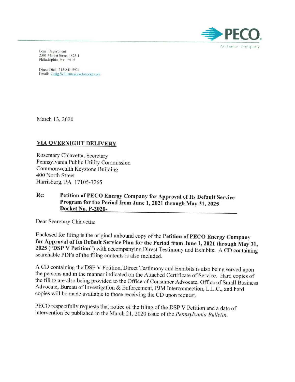

Legal Department 2301 Market Street / S23-1 Philadelphia, PA 19103

Direct Dial: 215-841-5974 Email: Craig Williams a excloncorp.com

March 13,2020

# VIA OVERNIGHT DELIVERY

Rosemary Chiavetta, Secretary Pennsylvania Public Utility Commission Commonwealth Keystone Building 400 North Street Harrisburg, PA 17105-3265

# Re: Petition of PECO Energy Company for Approval of Its Default Service Program for the Period from June 1,2021 through May 31, 2025 Docket No. P-2020-

Dear Secretary Chiavetta:

Enclosed for filing is the original unbound copy of the Petition of PECO Energy Company for Approval of Its Default Service Plan for the Period from June 1,2021 through May 31, 2025 ("DSP V Petition") with accompanying Direct Testimony and Exhibits. A CD containing searchable PDFs of the filing contents is also included.

A CD containing the DSP V Petition, Direct Testimony and Exhibits is also being served upon the persons and in the manner indicated on the Attached Certificate of Service. Hard copies of the filing are also being provided to the Office of Consumer Advocate, Office of Small Business Advocate, Bureau of Investigation & Enforcement, PJM Interconnection, LLC., and hard copies will be made available to those receiving the CD upon request.

PECO respectfully requests that notice of the filing of the DSP V Petition and a date of intervention be published in the March 21, 2020 issue of the *Pennsylvania Bulletin.*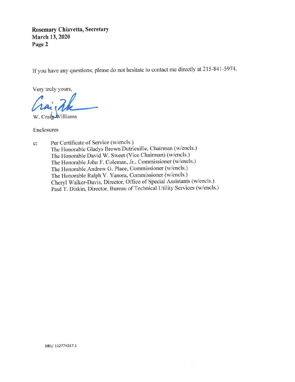**Rosemary Chiavetta, Secretary March 13, 2020** Page 2

If you have any questions, please do not hesitate to contact me directly at 215-841-5974.

Very truly yours,

Very truly yours,<br> *Chai* Me

Enclosures

c: Per Certificate of Service (w/encls.) The Honorable Gladys Brown Dutrieuille, Chairman (w/encls.) The Honorable David W. Sweet (Vice Chairman) (w/encls.) The Honorable John F. Coleman, Jf., Commissioner (w/encls.) The Honorable Andrew G. Place, Commissioner (w/encls.) The Honorable Ralph V. Yanora, Commissioner (w/encls.) Cheryl Walker-Davis, Director, Office of Special Assistants (w/enc1s.) Paul T. Diskin, Director, Bureau of Technical Utility Services (w/encls.)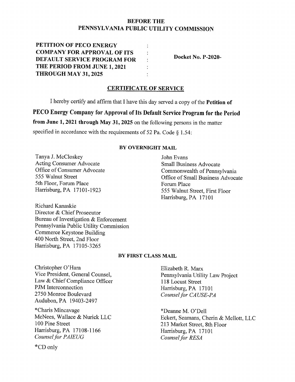# BEFORE THE **PENNSYLVANIA PUBLIC UTILITY COMMISSION**

 $\ddot{\cdot}$ 

**PETITION OF PECO ENERGY COMPANY FOR APPROVAL OF ITS DEFAULT SERVICE PROGRAM FOR THE PERIOD FROM JUNE 1,2021 THROUGH MAY 31, 2025**

**Docket No. P-2020-**

## **CERTIFICATE OF SERVICE**

 $\ddot{\cdot}$ 

I hereby certify and affirm that I have this day served a copy of the **Petition of**

**PECO Energy Company for Approval of Its Default Service Program for the Period**

**from June 1,2021 through May 31, 2025** on the following persons in the matter

specified in accordance with the requirements of 52 Pa. Code § 1.54:

## **BY OVERNIGHT MAIL**

Tanya 1. McCloskey Acting Consumer Advocate Office of Consumer Advocate 555 Walnut Street 5th Floor, Forum Place Harrisburg, PA 17101-1923

John Evans Small Business Advocate Commonwealth of Pennsylvania Office of Small Business Advocate Forum Place 555 Walnut Street, First Floor Harrisburg, PA 17101

Richard Kanaskie Director & Chief Prosecutor Bureau of Investigation & Enforcement Pennsylvania Public Utility Commission Commerce Keystone Building 400 North Street, 2nd Floor Harrisburg, PA 17105-3265

## **BY FIRST CLASS MAIL**

Christopher O'Hara Vice President, General Counsel, Law & Chief Compliance Officer PJM Interconnection 2750 Monroe Boulevard Audubon, PA 19403-2497

\*Charis Mincavage McNees, Wallace & Nurick LLC 100 Pine Street Harrisburg,PA 17108-1166 **Counsel for PAIEUG** 

Elizabeth R. Marx Pennsylvania Utility Law Project 118 Locust Street Harrisburg, PA 17101 *Counsel for CAUSE-PA* 

\*Deanne M. O'Dell Eckert, Seamans, Cherin & Mellott, LLC 213 Market Street, 8th Floor Harrisburg, PA 17101 *Counsel for RESA* 

\*CD only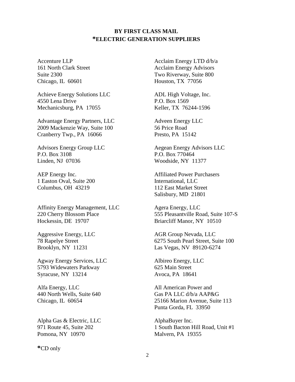# **BY FIRST CLASS MAIL \*ELECTRIC GENERATION SUPPLIERS**

Accenture LLP 161 North Clark Street Suite 2300 Chicago, IL 60601

Achieve Energy Solutions LLC 4550 Lena Drive Mechanicsburg, PA 17055

Advantage Energy Partners, LLC 2009 Mackenzie Way, Suite 100 Cranberry Twp., PA 16066

Advisors Energy Group LLC P.O. Box 3108 Linden, NJ 07036

AEP Energy Inc. 1 Easton Oval, Suite 200 Columbus, OH 43219

Affinity Energy Management, LLC 220 Cherry Blossom Place Hockessin, DE 19707

Aggressive Energy, LLC 78 Rapelye Street Brooklyn, NY 11231

Agway Energy Services, LLC 5793 Widewaters Parkway Syracuse, NY 13214

Alfa Energy, LLC 440 North Wells, Suite 640 Chicago, IL 60654

Alpha Gas & Electric, LLC 971 Route 45, Suite 202 Pomona, NY 10970

**\***CD only

Acclaim Energy LTD d/b/a Acclaim Energy Advisors Two Riverway, Suite 800 Houston, TX 77056

ADL High Voltage, Inc. P.O. Box 1569 Keller, TX 76244-1596

Adveen Energy LLC 56 Price Road Presto, PA 15142

Aegean Energy Advisors LLC P.O. Box 770464 Woodside, NY 11377

Affiliated Power Purchasers International, LLC 112 East Market Street Salisbury, MD 21801

Agera Energy, LLC 555 Pleasantville Road, Suite 107-S Briarcliff Manor, NY 10510

AGR Group Nevada, LLC 6275 South Pearl Street, Suite 100 Las Vegas, NV 89120-6274

Albireo Energy, LLC 625 Main Street Avoca, PA 18641

All American Power and Gas PA LLC d/b/a AAP&G 25166 Marion Avenue, Suite 113 Punta Gorda, FL 33950

AlphaBuyer Inc. 1 South Bacton Hill Road, Unit #1 Malvern, PA 19355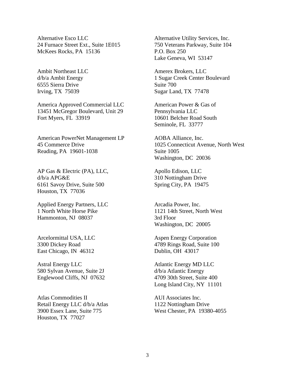Alternative Esco LLC 24 Furnace Street Ext., Suite 1E015 McKees Rocks, PA 15136

Ambit Northeast LLC d/b/a Ambit Energy 6555 Sierra Drive Irving, TX 75039

America Approved Commercial LLC 13451 McGregor Boulevard, Unit 29 Fort Myers, FL 33919

American PowerNet Management LP 45 Commerce Drive Reading, PA 19601-1038

AP Gas & Electric (PA), LLC, d/b/a APG&E 6161 Savoy Drive, Suite 500 Houston, TX 77036

Applied Energy Partners, LLC 1 North White Horse Pike Hammonton, NJ 08037

Arcelormittal USA, LLC 3300 Dickey Road East Chicago, IN 46312

Astral Energy LLC 580 Sylvan Avenue, Suite 2J Englewood Cliffs, NJ 07632

Atlas Commodities II Retail Energy LLC d/b/a Atlas 3900 Essex Lane, Suite 775 Houston, TX 77027

Alternative Utility Services, Inc. 750 Veterans Parkway, Suite 104 P.O. Box 250 Lake Geneva, WI 53147

Amerex Brokers, LLC 1 Sugar Creek Center Boulevard Suite 700 Sugar Land, TX 77478

American Power & Gas of Pennsylvania LLC 10601 Belcher Road South Seminole, FL 33777

AOBA Alliance, Inc. 1025 Connecticut Avenue, North West Suite 1005 Washington, DC 20036

Apollo Edison, LLC 310 Nottingham Drive Spring City, PA 19475

Arcadia Power, Inc. 1121 14th Street, North West 3rd Floor Washington, DC 20005

Aspen Energy Corporation 4789 Rings Road, Suite 100 Dublin, OH 43017

Atlantic Energy MD LLC d/b/a Atlantic Energy 4709 30th Street, Suite 400 Long Island City, NY 11101

AUI Associates Inc. 1122 Nottingham Drive West Chester, PA 19380-4055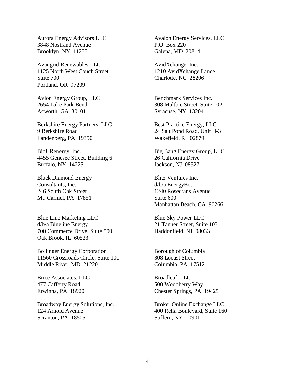Aurora Energy Advisors LLC 3848 Nostrand Avenue Brooklyn, NY 11235

Avangrid Renewables LLC 1125 North West Couch Street Suite 700 Portland, OR 97209

Avion Energy Group, LLC 2654 Lake Park Bend Acworth, GA 30101

Berkshire Energy Partners, LLC 9 Berkshire Road Landenberg, PA 19350

BidURenergy, Inc. 4455 Genesee Street, Building 6 Buffalo, NY 14225

Black Diamond Energy Consultants, Inc. 246 South Oak Street Mt. Carmel, PA 17851

Blue Line Marketing LLC d/b/a Blueline Energy 700 Commerce Drive, Suite 500 Oak Brook, IL 60523

Bollinger Energy Corporation 11560 Crossroads Circle, Suite 100 Middle River, MD 21220

Brice Associates, LLC 477 Cafferty Road Erwinna, PA 18920

Broadway Energy Solutions, Inc. 124 Arnold Avenue Scranton, PA 18505

Avalon Energy Services, LLC P.O. Box 220 Galena, MD 20814

AvidXchange, Inc. 1210 AvidXchange Lance Charlotte, NC 28206

Benchmark Services Inc. 308 Maltbie Street, Suite 102 Syracuse, NY 13204

Best Practice Energy, LLC 24 Salt Pond Road, Unit H-3 Wakefield, RI 02879

Big Bang Energy Group, LLC 26 California Drive Jackson, NJ 08527

Blitz Ventures Inc. d/b/a EnergyBot 1240 Rosecrans Avenue Suite 600 Manhattan Beach, CA 90266

Blue Sky Power LLC 21 Tanner Street, Suite 103 Haddonfield, NJ 08033

Borough of Columbia 308 Locust Street Columbia, PA 17512

Broadleaf, LLC 500 Woodberry Way Chester Springs, PA 19425

Broker Online Exchange LLC 400 Rella Boulevard, Suite 160 Suffern, NY 10901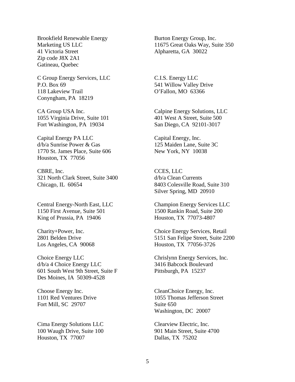Brookfield Renewable Energy Marketing US LLC 41 Victoria Street Zip code J8X 2A1 Gatineau, Quebec

C Group Energy Services, LLC P.O. Box 69 118 Lakeview Trail Conyngham, PA 18219

CA Group USA Inc. 1055 Virginia Drive, Suite 101 Fort Washington, PA 19034

Capital Energy PA LLC d/b/a Sunrise Power & Gas 1770 St. James Place, Suite 606 Houston, TX 77056

CBRE, Inc. 321 North Clark Street, Suite 3400 Chicago, IL 60654

Central Energy-North East, LLC 1150 First Avenue, Suite 501 King of Prussia, PA 19406

Charity+Power, Inc. 2801 Belden Drive Los Angeles, CA 90068

Choice Energy LLC d/b/a 4 Choice Energy LLC 601 South West 9th Street, Suite F Des Moines, IA 50309-4528

Choose Energy Inc. 1101 Red Ventures Drive Fort Mill, SC 29707

Cima Energy Solutions LLC 100 Waugh Drive, Suite 100 Houston, TX 77007

Burton Energy Group, Inc. 11675 Great Oaks Way, Suite 350 Alpharetta, GA 30022

C.I.S. Energy LLC 541 Willow Valley Drive O'Fallon, MO 63366

Calpine Energy Solutions, LLC 401 West A Street, Suite 500 San Diego, CA 92101-3017

Capital Energy, Inc. 125 Maiden Lane, Suite 3C New York, NY 10038

CCES, LLC d/b/a Clean Currents 8403 Colesville Road, Suite 310 Silver Spring, MD 20910

Champion Energy Services LLC 1500 Rankin Road, Suite 200 Houston, TX 77073-4807

Choice Energy Services, Retail 5151 San Felipe Street, Suite 2200 Houston, TX 77056-3726

Chrislynn Energy Services, Inc. 3416 Babcock Boulevard Pittsburgh, PA 15237

CleanChoice Energy, Inc. 1055 Thomas Jefferson Street Suite 650 Washington, DC 20007

Clearview Electric, Inc. 901 Main Street, Suite 4700 Dallas, TX 75202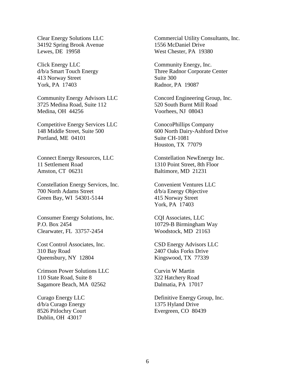Clear Energy Solutions LLC 34192 Spring Brook Avenue Lewes, DE 19958

Click Energy LLC d/b/a Smart Touch Energy 413 Norway Street York, PA 17403

Community Energy Advisors LLC 3725 Medina Road, Suite 112 Medina, OH 44256

Competitive Energy Services LLC 148 Middle Street, Suite 500 Portland, ME 04101

Connect Energy Resources, LLC 11 Settlement Road Amston, CT 06231

Constellation Energy Services, Inc. 700 North Adams Street Green Bay, WI 54301-5144

Consumer Energy Solutions, Inc. P.O. Box 2454 Clearwater, FL 33757-2454

Cost Control Associates, Inc. 310 Bay Road Queensbury, NY 12804

Crimson Power Solutions LLC 110 State Road, Suite 8 Sagamore Beach, MA 02562

Curago Energy LLC d/b/a Curago Energy 8526 Pitlochry Court Dublin, OH 43017

Commercial Utility Consultants, Inc. 1556 McDaniel Drive West Chester, PA 19380

Community Energy, Inc. Three Radnor Corporate Center Suite 300 Radnor, PA 19087

Concord Engineering Group, Inc. 520 South Burnt Mill Road Voorhees, NJ 08043

ConocoPhillips Company 600 North Dairy-Ashford Drive Suite CH-1081 Houston, TX 77079

Constellation NewEnergy Inc. 1310 Point Street, 8th Floor Baltimore, MD 21231

Convenient Ventures LLC d/b/a Energy Objective 415 Norway Street York, PA 17403

CQI Associates, LLC 10729-B Birmingham Way Woodstock, MD 21163

CSD Energy Advisors LLC 2407 Oaks Forks Drive Kingswood, TX 77339

Curvin W Martin 322 Hatchery Road Dalmatia, PA 17017

Definitive Energy Group, Inc. 1375 Hyland Drive Evergreen, CO 80439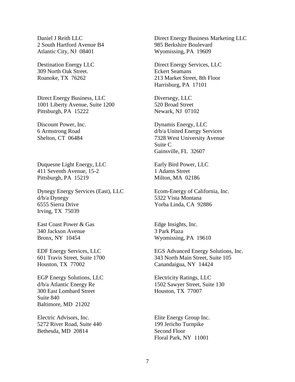Daniel J Reith LLC 2 South Hartford Avenue B4 Atlantic City, NJ 08401

Destination Energy LLC 309 North Oak Street. Roanoke, TX 76262

Direct Energy Business, LLC 1001 Liberty Avenue, Suite 1200 Pittsburgh, PA 15222

Discount Power, Inc. 6 Armstrong Road Shelton, CT 06484

Duquesne Light Energy, LLC 411 Seventh Avenue, 15-2 Pittsburgh, PA 15219

Dynegy Energy Services (East), LLC d/b/a Dynegy 6555 Sierra Drive Irving, TX 75039

East Coast Power & Gas 340 Jackson Avenue Bronx, NY 10454

EDF Energy Services, LLC 601 Travis Street, Suite 1700 Houston, TX 77002

EGP Energy Solutions, LLC d/b/a Atlantic Energy Re 300 East Lombard Street Suite 840 Baltimore, MD 21202

Electric Advisors, Inc. 5272 River Road, Suite 440 Bethesda, MD 20814

Direct Energy Business Marketing LLC 985 Berkshire Boulevard Wyomissing, PA 19609

Direct Energy Services, LLC Eckert Seamans 213 Market Street, 8th Floor Harrisburg, PA 17101

Diversegy, LLC 520 Broad Street Newark, NJ 07102

Dynamis Energy, LLC d/b/a United Energy Services 7328 West University Avenue Suite C Gainsville, FL 32607

Early Bird Power, LLC 1 Adams Street Milton, MA 02186

Ecom-Energy of California, Inc. 5322 Vista Montana Yorba Linda, CA 92886

Edge Insights, Inc. 3 Park Plaza Wyomissing, PA 19610

EGS Advanced Energy Solutions, Inc. 343 North Main Street, Suite 105 Canandaigua, NY 14424

Electricity Ratings, LLC 1502 Sawyer Street, Suite 130 Houston, TX 77007

Elite Energy Group Inc. 199 Jericho Turnpike Second Floor Floral Park, NY 11001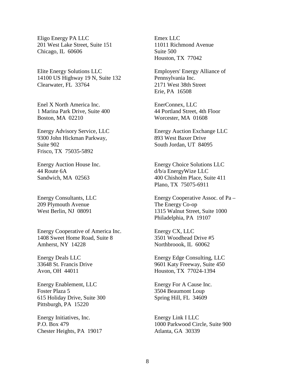Eligo Energy PA LLC 201 West Lake Street, Suite 151 Chicago, IL 60606

Elite Energy Solutions LLC 14100 US Highway 19 N, Suite 132 Clearwater, FL 33764

Enel X North America Inc. 1 Marina Park Drive, Suite 400 Boston, MA 02210

Energy Advisory Service, LLC 9300 John Hickman Parkway, Suite 902 Frisco, TX 75035-5892

Energy Auction House Inc. 44 Route 6A Sandwich, MA 02563

Energy Consultants, LLC 209 Plymouth Avenue West Berlin, NJ 08091

Energy Cooperative of America Inc. 1408 Sweet Home Road, Suite 8 Amherst, NY 14228

Energy Deals LLC 33648 St. Francis Drive Avon, OH 44011

Energy Enablement, LLC Foster Plaza 5 615 Holiday Drive, Suite 300 Pittsburgh, PA 15220

Energy Initiatives, Inc. P.O. Box 479 Chester Heights, PA 19017 Emex LLC 11011 Richmond Avenue Suite 500 Houston, TX 77042

Employers' Energy Alliance of Pennsylvania Inc. 2171 West 38th Street Erie, PA 16508

EnerConnex, LLC 44 Portland Street, 4th Floor Worcester, MA 01608

Energy Auction Exchange LLC 893 West Baxer Drive South Jordan, UT 84095

Energy Choice Solutions LLC d/b/a EnergyWize LLC 400 Chisholm Place, Suite 411 Plano, TX 75075-6911

Energy Cooperative Assoc. of Pa – The Energy Co-op 1315 Walnut Street, Suite 1000 Philadelphia, PA 19107

Energy CX, LLC 3501 Woodhead Drive #5 Northbroook, IL 60062

Energy Edge Consulting, LLC 9601 Katy Freeway, Suite 450 Houston, TX 77024-1394

Energy For A Cause Inc. 3504 Beaumont Loup Spring Hill, FL 34609

Energy Link I LLC 1000 Parkwood Circle, Suite 900 Atlanta, GA 30339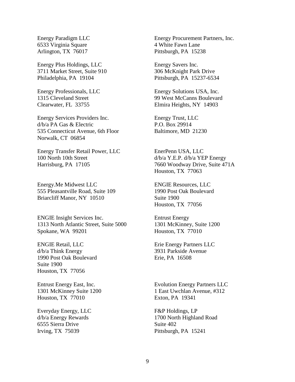Energy Paradigm LLC 6533 Virginia Square Arlington, TX 76017

Energy Plus Holdings, LLC 3711 Market Street, Suite 910 Philadelphia, PA 19104

Energy Professionals, LLC 1315 Cleveland Street Clearwater, FL 33755

Energy Services Providers Inc. d/b/a PA Gas & Electric 535 Connecticut Avenue, 6th Floor Norwalk, CT 06854

Energy Transfer Retail Power, LLC 100 North 10th Street Harrisburg, PA 17105

Energy.Me Midwest LLC 555 Pleasantville Road, Suite 109 Briarcliff Manor, NY 10510

ENGIE Insight Services Inc. 1313 North Atlantic Street, Suite 5000 Spokane, WA 99201

ENGIE Retail, LLC d/b/a Think Energy 1990 Post Oak Boulevard Suite 1900 Houston, TX 77056

Entrust Energy East, Inc. 1301 McKinney Suite 1200 Houston, TX 77010

Everyday Energy, LLC d/b/a Energy Rewards 6555 Sierra Drive Irving, TX 75039

Energy Procurement Partners, Inc. 4 White Fawn Lane Pittsburgh, PA 15238

Energy Savers Inc. 306 McKnight Park Drive Pittsburgh, PA 15237-6534

Energy Solutions USA, Inc. 99 West McCanns Boulevard Elmira Heights, NY 14903

Energy Trust, LLC P.O. Box 29914 Baltimore, MD 21230

EnerPenn USA, LLC d/b/a Y.E.P. d/b/a YEP Energy 7660 Woodway Drive, Suite 471A Houston, TX 77063

ENGIE Resources, LLC 1990 Post Oak Boulevard Suite 1900 Houston, TX 77056

Entrust Energy 1301 McKinney, Suite 1200 Houston, TX 77010

Erie Energy Partners LLC 3931 Parkside Avenue Erie, PA 16508

Evolution Energy Partners LLC 1 East Uwchlan Avenue, #312 Exton, PA 19341

F&P Holdings, LP 1700 North Highland Road Suite 402 Pittsburgh, PA 15241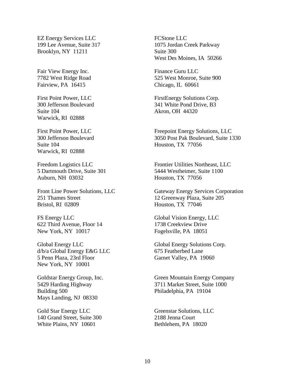EZ Energy Services LLC 199 Lee Avenue, Suite 317 Brooklyn, NY 11211

Fair View Energy Inc. 7782 West Ridge Road Fairview, PA 16415

First Point Power, LLC 300 Jefferson Boulevard Suite 104 Warwick, RI 02888

First Point Power, LLC 300 Jefferson Boulevard Suite 104 Warwick, RI 02888

Freedom Logistics LLC 5 Dartmouth Drive, Suite 301 Auburn, NH 03032

Front Line Power Solutions, LLC 251 Thames Street Bristol, RI 02809

FS Energy LLC 622 Third Avenue, Floor 14 New York, NY 10017

Global Energy LLC d/b/a Global Energy E&G LLC 5 Penn Plaza, 23rd Floor New York, NY 10001

Goldstar Energy Group, Inc. 5429 Harding Highway Building 500 Mays Landing, NJ 08330

Gold Star Energy LLC 140 Grand Street, Suite 300 White Plains, NY 10601

FCStone LLC 1075 Jordan Creek Parkway Suite 300 West Des Moines, IA 50266

Finance Guru LLC 525 West Monroe, Suite 900 Chicago, IL 60661

FirstEnergy Solutions Corp. 341 White Pond Drive, B3 Akron, OH 44320

Freepoint Energy Solutions, LLC 3050 Post Pak Boulevard, Suite 1330 Houston, TX 77056

Frontier Utilities Northeast, LLC 5444 Westheimer, Suite 1100 Houston, TX 77056

Gateway Energy Services Corporation 12 Greenway Plaza, Suite 205 Houston, TX 77046

Global Vision Energy, LLC 1738 Creekview Drive Fogelsville, PA 18051

Global Energy Solutions Corp. 675 Featherbed Lane Garnet Valley, PA 19060

Green Mountain Energy Company 3711 Market Street, Suite 1000 Philadelphia, PA 19104

Greenstar Solutions, LLC 2188 Jenna Court Bethlehem, PA 18020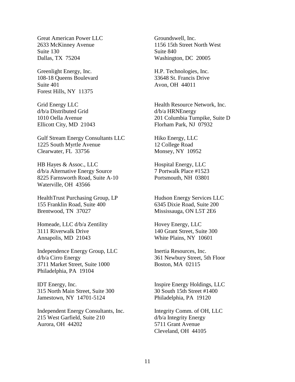Great American Power LLC 2633 McKinney Avenue Suite 130 Dallas, TX 75204

Greenlight Energy, Inc. 108-18 Queens Boulevard Suite 401 Forest Hills, NY 11375

Grid Energy LLC d/b/a Distributed Grid 1010 Oella Avenue Ellicott City, MD 21043

Gulf Stream Energy Consultants LLC 1225 South Myrtle Avenue Clearwater, FL 33756

HB Hayes & Assoc., LLC d/b/a Alternative Energy Source 8225 Farnsworth Road, Suite A-10 Waterville, OH 43566

HealthTrust Purchasing Group, LP 155 Franklin Road, Suite 400 Brentwood, TN 37027

Homeade, LLC d/b/a Zentility 3111 Riverwalk Drive Annapolis, MD 21043

Independence Energy Group, LLC d/b/a Cirro Energy 3711 Market Street, Suite 1000 Philadelphia, PA 19104

IDT Energy, Inc. 315 North Main Street, Suite 300 Jamestown, NY 14701-5124

Independent Energy Consultants, Inc. 215 West Garfield, Suite 210 Aurora, OH 44202

Groundswell, Inc. 1156 15th Street North West Suite 840 Washington, DC 20005

H.P. Technologies, Inc. 33648 St. Francis Drive Avon, OH 44011

Health Resource Network, Inc. d/b/a HRNEnergy 201 Columbia Turnpike, Suite D Florham Park, NJ 07932

Hiko Energy, LLC 12 College Road Monsey, NY 10952

Hospital Energy, LLC 7 Portwalk Place #1523 Portsmouth, NH 03801

Hudson Energy Services LLC 6345 Dixie Road, Suite 200 Mississauga, ON L5T 2E6

Hovey Energy, LLC 140 Grant Street, Suite 300 White Plains, NY 10601

Inertia Resources, Inc. 361 Newbury Street, 5th Floor Boston, MA 02115

Inspire Energy Holdings, LLC 30 South 15th Street #1400 Philadelphia, PA 19120

Integrity Comm. of OH, LLC d/b/a Integrity Energy 5711 Grant Avenue Cleveland, OH 44105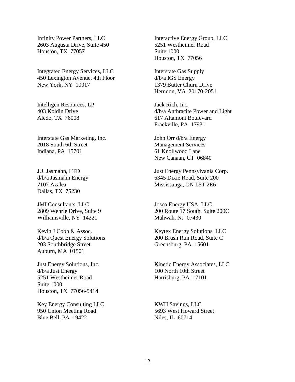Infinity Power Partners, LLC 2603 Augusta Drive, Suite 450 Houston, TX 77057

Integrated Energy Services, LLC 450 Lexington Avenue, 4th Floor New York, NY 10017

Intelligen Resources, LP 403 Koldin Drive Aledo, TX 76008

Interstate Gas Marketing, Inc. 2018 South 6th Street Indiana, PA 15701

J.J. Jasmahn, LTD d/b/a Jasmahn Energy 7107 Azalea Dallas, TX 75230

JMI Consultants, LLC 2809 Wehrle Drive, Suite 9 Williamsville, NY 14221

Kevin J Cobb & Assoc. d/b/a Quest Energy Solutions 203 Southbridge Street Auburn, MA 01501

Just Energy Solutions, Inc. d/b/a Just Energy 5251 Westheimer Road Suite 1000 Houston, TX 77056-5414

Key Energy Consulting LLC 950 Union Meeting Road Blue Bell, PA 19422

Interactive Energy Group, LLC 5251 Westheimer Road Suite 1000 Houston, TX 77056

Interstate Gas Supply d/b/a IGS Energy 1379 Butter Churn Drive Herndon, VA 20170-2051

Jack Rich, Inc. d/b/a Anthracite Power and Light 617 Altamont Boulevard Frackville, PA 17931

John Orr d/b/a Energy Management Services 61 Knollwood Lane New Canaan, CT 06840

Just Energy Pennsylvania Corp. 6345 Dixie Road, Suite 200 Mississauga, ON L5T 2E6

Josco Energy USA, LLC 200 Route 17 South, Suite 200C Mahwah, NJ 07430

Keytex Energy Solutions, LLC 200 Brush Run Road, Suite C Greensburg, PA 15601

Kinetic Energy Associates, LLC 100 North 10th Street Harrisburg, PA 17101

KWH Savings, LLC 5693 West Howard Street Niles, IL 60714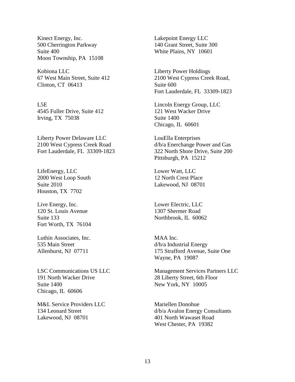Kinect Energy, Inc. 500 Cherrington Parkway Suite 400 Moon Township, PA 15108

Kobiona LLC 67 West Main Street, Suite 412 Clinton, CT 06413

L5E 4545 Fuller Drive, Suite 412 Irving, TX 75038

Liberty Power Delaware LLC 2100 West Cypress Creek Road Fort Lauderdale, FL 33309-1823

LifeEnergy, LLC 2000 West Loop South Suite 2010 Houston, TX 7702

Live Energy, Inc. 120 St. Louis Avenue Suite 133 Fort Worth, TX 76104

Luthin Associates, Inc. 535 Main Street Allenhurst, NJ 07711

LSC Communications US LLC 191 North Wacker Drive Suite 1400 Chicago, IL 60606

M&L Service Providers LLC 134 Leonard Street Lakewood, NJ 08701

Lakepoint Energy LLC 140 Grant Street, Suite 300 White Plains, NY 10601

Liberty Power Holdings 2100 West Cypress Creek Road, Suite 600 Fort Lauderdale, FL 33309-1823

Lincoln Energy Group, LLC 121 West Wacker Drive Suite 1400 Chicago, IL 60601

LouElla Enterprises d/b/a Enerchange Power and Gas 322 North Shore Drive, Suite 200 Pittsburgh, PA 15212

Lower Watt, LLC 12 North Crest Place Lakewood, NJ 08701

Lower Electric, LLC 1307 Shermer Road Northbrook, IL 60062

MAA Inc. d/b/a Industrial Energy 175 Strafford Avenue, Suite One Wayne, PA 19087

Management Services Partners LLC 28 Liberty Street, 6th Floor New York, NY 10005

Mariellen Donohue d/b/a Avalon Energy Consultants 401 North Wawaset Road West Chester, PA 19382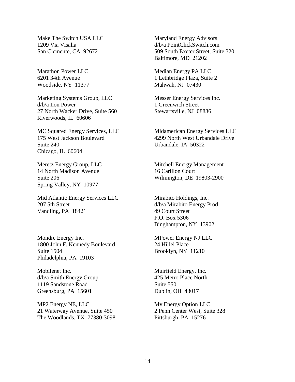Make The Switch USA LLC 1209 Via Visalia San Clemente, CA 92672

Marathon Power LLC 6201 34th Avenue Woodside, NY 11377

Marketing Systems Group, LLC d/b/a Iion Power 27 North Wacker Drive, Suite 560 Riverwoods, IL 60606

MC Squared Energy Services, LLC 175 West Jackson Boulevard Suite 240 Chicago, IL 60604

Meretz Energy Group, LLC 14 North Madison Avenue Suite 206 Spring Valley, NY 10977

Mid Atlantic Energy Services LLC 207 5th Street Vandling, PA 18421

Mondre Energy Inc. 1800 John F. Kennedy Boulevard Suite 1504 Philadelphia, PA 19103

Mobilenet Inc. d/b/a Smith Energy Group 1119 Sandstone Road Greensburg, PA 15601

MP2 Energy NE, LLC 21 Waterway Avenue, Suite 450 The Woodlands, TX 77380-3098 Maryland Energy Advisors d/b/a PointClickSwitch.com 509 South Exeter Street, Suite 320 Baltimore, MD 21202

Median Energy PA LLC 1 Lethbridge Plaza, Suite 2 Mahwah, NJ 07430

Messer Energy Services Inc. 1 Greenwich Street Stewartsville, NJ 08886

Midamerican Energy Services LLC 4299 North West Urbandale Drive Urbandale, IA 50322

Mitchell Energy Management 16 Carillon Court Wilmington, DE 19803-2900

Mirabito Holdings, Inc. d/b/a Mirabito Energy Prod 49 Court Street P.O. Box 5306 Binghampton, NY 13902

MPower Energy NJ LLC 24 Hillel Place Brooklyn, NY 11210

Muirfield Energy, Inc. 425 Metro Place North Suite 550 Dublin, OH 43017

My Energy Option LLC 2 Penn Center West, Suite 328 Pittsburgh, PA 15276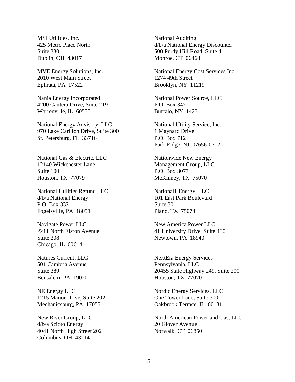MSI Utilities, Inc. 425 Metro Place North Suite 330 Dublin, OH 43017

MVE Energy Solutions, Inc. 2010 West Main Street Ephrata, PA 17522

Nania Energy Incorporated 4200 Cantera Drive, Suite 219 Warrenville, IL 60555

National Energy Advisory, LLC 970 Lake Carillon Drive, Suite 300 St. Petersburg, FL 33716

National Gas & Electric, LLC 12140 Wickchester Lane Suite 100 Houston, TX 77079

National Utilities Refund LLC d/b/a National Energy P.O. Box 332 Fogelsville, PA 18051

Navigate Power LLC 2211 North Elston Avenue Suite 208 Chicago, IL 60614

Natures Current, LLC 501 Cambria Avenue Suite 389 Bensalem, PA 19020

NE Energy LLC 1215 Manor Drive, Suite 202 Mechanicsburg, PA 17055

New River Group, LLC d/b/a Scioto Energy 4041 North High Street 202 Columbus, OH 43214

National Auditing d/b/a National Energy Discounter 500 Purdy Hill Road, Suite 4 Monroe, CT 06468

National Energy Cost Services Inc. 1274 49th Street Brooklyn, NY 11219

National Power Source, LLC P.O. Box 347 Buffalo, NY 14231

National Utility Service, Inc. 1 Maynard Drive P.O. Box 712 Park Ridge, NJ 07656-0712

Nationwide New Energy Management Group, LLC P.O. Box 3077 McKinney, TX 75070

National1 Energy, LLC 101 East Park Boulevard Suite 301 Plano, TX 75074

New America Power LLC 41 University Drive, Suite 400 Newtown, PA 18940

NextEra Energy Services Pennsylvania, LLC 20455 State Highway 249, Suite 200 Houston, TX 77070

Nordic Energy Services, LLC One Tower Lane, Suite 300 Oakbrook Terrace, IL 60181

North American Power and Gas, LLC 20 Glover Avenue Norwalk, CT 06850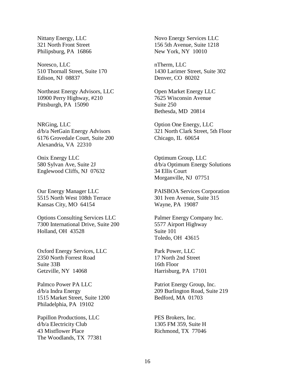Nittany Energy, LLC 321 North Front Street Philipsburg, PA 16866

Noresco, LLC 510 Thornall Street, Suite 170 Edison, NJ 08837

Northeast Energy Advisors, LLC 10900 Perry Highway, #210 Pittsburgh, PA 15090

NRGing, LLC d/b/a NetGain Energy Advisors 6176 Grovedale Court, Suite 200 Alexandria, VA 22310

Onix Energy LLC 580 Sylvan Ave, Suite 2J Englewood Cliffs, NJ 07632

Our Energy Manager LLC 5515 North West 108th Terrace Kansas City, MO 64154

Options Consulting Services LLC 7300 International Drive, Suite 200 Holland, OH 43528

Oxford Energy Services, LLC 2350 North Forrest Road Suite 33B Getzville, NY 14068

Palmco Power PA LLC d/b/a Indra Energy 1515 Market Street, Suite 1200 Philadelphia, PA 19102

Papillon Productions, LLC d/b/a Electricity Club 43 Mistflower Place The Woodlands, TX 77381 Novo Energy Services LLC 156 5th Avenue, Suite 1218 New York, NY 10010

nTherm, LLC 1430 Larimer Street, Suite 302 Denver, CO 80202

Open Market Energy LLC 7625 Wisconsin Avenue Suite 250 Bethesda, MD 20814

Option One Energy, LLC 321 North Clark Street, 5th Floor Chicago, IL 60654

Optimum Group, LLC d/b/a Optimum Energy Solutions 34 Ellis Court Morganville, NJ 07751

PAISBOA Services Corporation 301 Iven Avenue, Suite 315 Wayne, PA 19087

Palmer Energy Company Inc. 5577 Airport Highway Suite 101 Toledo, OH 43615

Park Power, LLC 17 North 2nd Street 16th Floor Harrisburg, PA 17101

Patriot Energy Group, Inc. 209 Burlington Road, Suite 219 Bedford, MA 01703

PES Brokers, Inc. 1305 FM 359, Suite H Richmond, TX 77046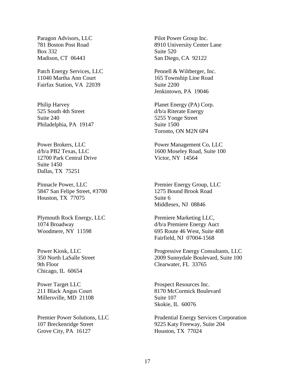Paragon Advisors, LLC 781 Boston Post Road Box 332 Madison, CT 06443

Patch Energy Services, LLC 11040 Martha Ann Court Fairfax Station, VA 22039

Philip Harvey 525 South 4th Street Suite 240 Philadelphia, PA 19147

Power Brokers, LLC d/b/a PB2 Texas, LLC 12700 Park Central Drive Suite 1450 Dallas, TX 75251

Pinnacle Power, LLC 5847 San Felipe Street, #3700 Houston, TX 77075

Plymouth Rock Energy, LLC 1074 Broadway Woodmere, NY 11598

Power Kiosk, LLC 350 North LaSalle Street 9th Floor Chicago, IL 60654

Power Target LLC 211 Black Angus Court Millersville, MD 21108

Premier Power Solutions, LLC 107 Breckenridge Street Grove City, PA 16127

Pilot Power Group Inc. 8910 University Center Lane Suite 520 San Diego, CA 92122

Pennell & Wiltberger, Inc. 165 Township Line Road Suite 2200 Jenkintown, PA 19046

Planet Energy (PA) Corp. d/b/a Riterate Energy 5255 Yonge Street Suite 1500 Toronto, ON M2N 6P4

Power Management Co, LLC 1600 Moseley Road, Suite 100 Victor, NY 14564

Premier Energy Group, LLC 1275 Bound Brook Road Suite 6 Middlesex, NJ 08846

Premiere Marketing LLC, d/b/a Premiere Energy Auct 695 Route 46 West, Suite 408 Fairfield, NJ 07004-1568

Progressive Energy Consultants, LLC 2009 Sunnydale Boulevard, Suite 100 Clearwater, FL 33765

Prospect Resources Inc. 8170 McCormick Boulevard Suite 107 Skokie, IL 60076

Prudential Energy Services Corporation 9225 Katy Freeway, Suite 204 Houston, TX 77024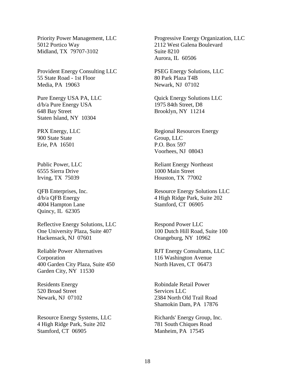Priority Power Management, LLC 5012 Portico Way Midland, TX 79707-3102

Provident Energy Consulting LLC 55 State Road - 1st Floor Media, PA 19063

Pure Energy USA PA, LLC d/b/a Pure Energy USA 648 Bay Street Staten Island, NY 10304

PRX Energy, LLC 900 State State Erie, PA 16501

Public Power, LLC 6555 Sierra Drive Irving, TX 75039

QFB Enterprises, Inc. d/b/a QFB Energy 4004 Hampton Lane Quincy, IL 62305

Reflective Energy Solutions, LLC One University Plaza, Suite 407 Hackensack, NJ 07601

Reliable Power Alternatives Corporation 400 Garden City Plaza, Suite 450 Garden City, NY 11530

Residents Energy 520 Broad Street Newark, NJ 07102

Resource Energy Systems, LLC 4 High Ridge Park, Suite 202 Stamford, CT 06905

Progressive Energy Organization, LLC 2112 West Galena Boulevard Suite 8210 Aurora, IL 60506

PSEG Energy Solutions, LLC 80 Park Plaza T4B Newark, NJ 07102

Quick Energy Solutions LLC 1975 84th Street, D8 Brooklyn, NY 11214

Regional Resources Energy Group, LLC P.O. Box 597 Voorhees, NJ 08043

Reliant Energy Northeast 1000 Main Street Houston, TX 77002

Resource Energy Solutions LLC 4 High Ridge Park, Suite 202 Stamford, CT 06905

Respond Power LLC 100 Dutch Hill Road, Suite 100 Orangeburg, NY 10962

RJT Energy Consultants, LLC 116 Washington Avenue North Haven, CT 06473

Robindale Retail Power Services LLC 2384 North Old Trail Road Shamokin Dam, PA 17876

Richards' Energy Group, Inc. 781 South Chiques Road Manheim, PA 17545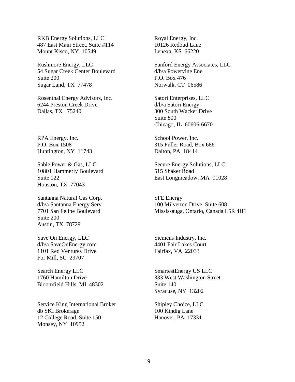RKB Energy Solutions, LLC 487 East Main Street, Suite #114 Mount Kisco, NY 10549

Rushmore Energy, LLC 54 Sugar Creek Center Boulevard Suite 200 Sugar Land, TX 77478

Rosenthal Energy Advisors, Inc. 6244 Preston Creek Drive Dallas, TX 75240

RPA Energy, Inc. P.O. Box 1508 Huntington, NY 11743

Sable Power & Gas, LLC 10801 Hammerly Boulevard Suite 122 Houston, TX 77043

Santanna Natural Gas Corp. d/b/a Santanna Energy Serv 7701 San Felipe Boulevard Suite 200 Austin, TX 78729

Save On Energy, LLC d/b/a SaveOnEnergy.com 1101 Red Ventures Drive For Mill, SC 29707

Search Energy LLC 1760 Hamilton Drive Bloomfield Hills, MI 48302

Service King International Broker db SKI Brokerage 12 College Road, Suite 150 Monsey, NY 10952

Royal Energy, Inc. 10126 Redbud Lane Lenexa, KS 66220

Sanford Energy Associates, LLC d/b/a Powervine Ene P.O. Box 476 Norwalk, CT 06586

Satori Enterprises, LLC d/b/a Satori Energy 300 South Wacker Drive Suite 800 Chicago, IL 60606-6670

School Power, Inc. 315 Fuller Road, Box 686 Dalton, PA 18414

Secure Energy Solutions, LLC 515 Shaker Road East Longmeadow, MA 01028

SFE Energy 100 Milverton Drive, Suite 608 Mississauga, Ontario, Canada L5R 4H1

Siemens Industry, Inc. 4401 Fair Lakes Court Fairfax, VA 22033

SmartestEnergy US LLC 333 West Washington Street Suite 140 Syracuse, NY 13202

Shipley Choice, LLC 100 Kindig Lane Hanover, PA 17331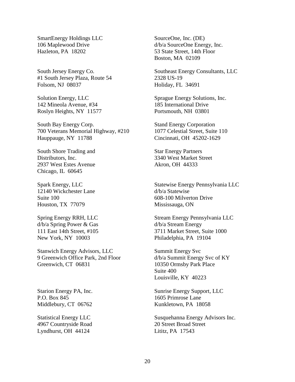SmartEnergy Holdings LLC 106 Maplewood Drive Hazleton, PA 18202

South Jersey Energy Co. #1 South Jersey Plaza, Route 54 Folsom, NJ 08037

Solution Energy, LLC 142 Mineola Avenue, #34 Roslyn Heights, NY 11577

South Bay Energy Corp. 700 Veterans Memorial Highway, #210 Hauppauge, NY 11788

South Shore Trading and Distributors, Inc. 2937 West Estes Avenue Chicago, IL 60645

Spark Energy, LLC 12140 Wickchester Lane Suite 100 Houston, TX 77079

Spring Energy RRH, LLC d/b/a Spring Power & Gas 111 East 14th Street, #105 New York, NY 10003

Stanwich Energy Advisors, LLC 9 Greenwich Office Park, 2nd Floor Greenwich, CT 06831

Starion Energy PA, Inc. P.O. Box 845 Middlebury, CT 06762

Statistical Energy LLC 4967 Countryside Road Lyndhurst, OH 44124

SourceOne, Inc. (DE) d/b/a SourceOne Energy, Inc. 53 State Street, 14th Floor Boston, MA 02109

Southeast Energy Consultants, LLC 2328 US-19 Holiday, FL 34691

Sprague Energy Solutions, Inc. 185 International Drive Portsmouth, NH 03801

Stand Energy Corporation 1077 Celestial Street, Suite 110 Cincinnati, OH 45202-1629

Star Energy Partners 3340 West Market Street Akron, OH 44333

Statewise Energy Pennsylvania LLC d/b/a Statewise 608-100 Milverton Drive Mississauga, ON

Stream Energy Pennsylvania LLC d/b/a Stream Energy 3711 Market Street, Suite 1000 Philadelphia, PA 19104

Summit Energy Svc d/b/a Summit Energy Svc of KY 10350 Ormsby Park Place Suite 400 Louisville, KY 40223

Sunrise Energy Support, LLC 1605 Primrose Lane Kunkletown, PA 18058

Susquehanna Energy Advisors Inc. 20 Street Broad Street Lititz, PA 17543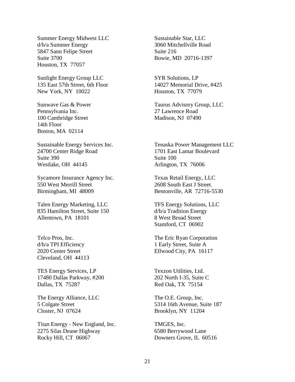Summer Energy Midwest LLC d/b/a Summer Energy 5847 Sann Felipe Street Suite 3700 Houston, TX 77057

Sunlight Energy Group LLC 135 East 57th Street, 6th Floor New York, NY 10022

Sunwave Gas & Power Pennsylvania Inc. 100 Cambridge Street 14th Floor Boston, MA 02114

Sustainable Energy Services Inc. 24700 Center Ridge Road Suite 390 Westlake, OH 44145

Sycamore Insurance Agency Inc. 550 West Merrill Street Birmingham, MI 48009

Talen Energy Marketing, LLC 835 Hamilton Street, Suite 150 Allentown, PA 18101

Telco Pros, Inc. d/b/a TPI Efficiency 2020 Center Street Cleveland, OH 44113

TES Energy Services, LP 17480 Dallas Parkway, #200 Dallas, TX 75287

The Energy Alliance, LLC 5 Colgate Street Closter, NJ 07624

Titan Energy - New England, Inc. 2275 Silas Deane Highway Rocky Hill, CT 06067

Sustainable Star, LLC 3060 Mitchellville Road Suite 216 Bowie, MD 20716-1397

SYR Solutions, LP 14027 Memorial Drive, #425 Houston, TX 77079

Taurus Advisory Group, LLC 27 Lawrence Road Madison, NJ 07490

Tenaska Power Management LLC 1701 East Lamar Boulevard Suite 100 Arlington, TX 76006

Texas Retail Energy, LLC 2608 South East J Street. Bentonville, AR 72716-5530

TFS Energy Solutions, LLC d/b/a Tradition Energy 8 West Broad Street Stamford, CT 06902

The Eric Ryan Corporation 1 Early Street, Suite A Ellwood City, PA 16117

Texzon Utilities, Ltd. 202 North I-35, Suite C Red Oak, TX 75154

The O.E. Group, Inc. 5314 16th Avenue, Suite 187 Brooklyn, NY 11204

TMGES, Inc. 6580 Berrywood Lane Downers Grove, IL 60516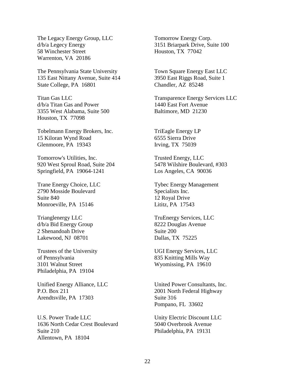The Legacy Energy Group, LLC d/b/a Legecy Energy 58 Winchester Street Warrenton, VA 20186

The Pennsylvania State University 135 East Nittany Avenue, Suite 414 State College, PA 16801

Titan Gas LLC d/b/a Titan Gas and Power 3355 West Alabama, Suite 500 Houston, TX 77098

Tobelmann Energy Brokers, Inc. 15 Kiloran Wynd Road Glenmoore, PA 19343

Tomorrow's Utilities, Inc. 920 West Sproul Road, Suite 204 Springfield, PA 19064-1241

Trane Energy Choice, LLC 2790 Mosside Boulevard Suite 840 Monroeville, PA 15146

Trianglenergy LLC d/b/a Bid Energy Group 2 Shenandoah Drive Lakewood, NJ 08701

Trustees of the University of Pennsylvania 3101 Walnut Street Philadelphia, PA 19104

Unified Energy Alliance, LLC P.O. Box 211 Arendtsville, PA 17303

U.S. Power Trade LLC 1636 North Cedar Crest Boulevard Suite 210 Allentown, PA 18104

Tomorrow Energy Corp. 3151 Briarpark Drive, Suite 100 Houston, TX 77042

Town Square Energy East LLC 3950 East Riggs Road, Suite 1 Chandler, AZ 85248

Transparence Energy Services LLC 1440 East Fort Avenue Baltimore, MD 21230

TriEagle Energy LP 6555 Sierra Drive Irving, TX 75039

Trusted Energy, LLC 5478 Wilshire Boulevard, #303 Los Angeles, CA 90036

Tybec Energy Management Specialists Inc. 12 Royal Drive Lititz, PA 17543

TruEnergy Services, LLC 8222 Douglas Avenue Suite 200 Dallas, TX 75225

UGI Energy Services, LLC 835 Knitting Mills Way Wyomissing, PA 19610

United Power Consultants, Inc. 2001 North Federal Highway Suite 316 Pompano, FL 33602

Unity Electric Discount LLC 5040 Overbrook Avenue Philadelphia, PA 19131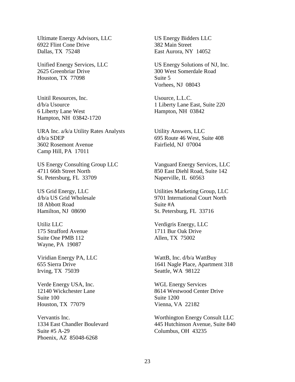Ultimate Energy Advisors, LLC 6922 Flint Cone Drive Dallas, TX 75248

Unified Energy Services, LLC 2625 Greenbriar Drive Houston, TX 77098

Unitil Resources, Inc. d/b/a Usource 6 Liberty Lane West Hampton, NH 03842-1720

URA Inc. a/k/a Utility Rates Analysts d/b/a SDEP 3602 Rosemont Avenue Camp Hill, PA 17011

US Energy Consulting Group LLC 4711 66th Street North St. Petersburg, FL 33709

US Grid Energy, LLC d/b/a US Grid Wholesale 18 Abbott Road Hamilton, NJ 08690

Utiliz LLC 175 Strafford Avenue Suite One PMB 112 Wayne, PA 19087

Viridian Energy PA, LLC 655 Sierra Drive Irving, TX 75039

Verde Energy USA, Inc. 12140 Wickchester Lane Suite 100 Houston, TX 77079

Vervantis Inc. 1334 East Chandler Boulevard Suite #5 A-29 Phoenix, AZ 85048-6268

US Energy Bidders LLC 382 Main Street East Aurora, NY 14052

US Energy Solutions of NJ, Inc. 300 West Somerdale Road Suite 5 Vorhees, NJ 08043

Usource, L.L.C. 1 Liberty Lane East, Suite 220 Hampton, NH 03842

Utility Answers, LLC 695 Route 46 West, Suite 408 Fairfield, NJ 07004

Vanguard Energy Services, LLC 850 East Diehl Road, Suite 142 Naperville, IL 60563

Utilities Marketing Group, LLC 9701 International Court North Suite #A St. Petersburg, FL 33716

Verdigris Energy, LLC 1711 Bur Oak Drive Allen, TX 75002

WattB, Inc. d/b/a WattBuy 1641 Nagle Place, Apartment 318 Seattle, WA 98122

WGL Energy Services 8614 Westwood Center Drive Suite 1200 Vienna, VA 22182

Worthington Energy Consult LLC 445 Hutchinson Avenue, Suite 840 Columbus, OH 43235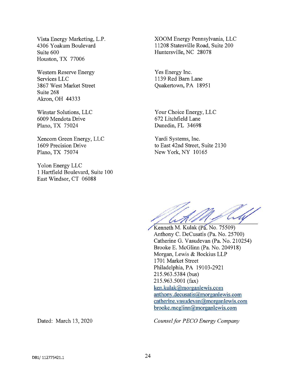Vista Energy Marketing, L.P. 4306 Yoakum Boulevard Suite 600 Houston, TX 77006

Western Reserve Energy Services LLC 3867 West Market Street Suite 268 Akron, OH 44333

Winstar Solutions, LLC 6009 Mendota Drive Plano, TX 75024

Xencom Green Energy, LLC 1609 Precision Drive Plano, TX 75074

Yolon Energy LLC 1 Hartfield Boulevard, Suite 100 East Windsor, CT 06088

XOOM Energy Pennsylvania, LLC 11208 Statesville Road, Suite 200 Huntersville, NC 28078

Yes Energy Inc. 1139 Red Barn Lane Quakertown, PA 18951

Your Choice Energy, LLC 672 Litchfield Lane Dunedin, FL 34698

Yardi Systems, Inc. to East 42nd Street, Suite 2130 New York, NY 10165

6 h / f

/Kenneth M. Kulak (Pa. No. 75509) Anthony C. DeCusatis (Pa. No. 25700) Catherine G. Vasudevan (Pa. No. 210254) Brooke E. McGlinn (Pa. No. 204918) Morgan, Lewis & Bockius LLP 1701 Market Street Philadelphia, PA 19103-2921 215.963.5384 (bus) 215.963.5001 (fax) ken.kulak@morganlewis.com anthony.decusatis@morganiewis.corn catherine.vasudevan@morganlewis.com brooke.mcglinn@morganlewis.com

Dated: March 13, 2020 Counsel for PECO Energy Company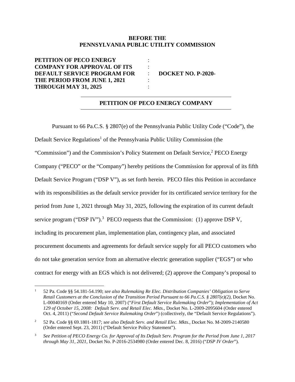## **BEFORE THE PENNSYLVANIA PUBLIC UTILITY COMMISSION**

: : : : :

**PETITION OF PECO ENERGY COMPANY FOR APPROVAL OF ITS DEFAULT SERVICE PROGRAM FOR THE PERIOD FROM JUNE 1, 2021 THROUGH MAY 31, 2025** 

**DOCKET NO. P-2020-** 

## **PETITION OF PECO ENERGY COMPANY**

Pursuant to 66 Pa.C.S. § 2807(e) of the Pennsylvania Public Utility Code ("Code"), the Default Service Regulations<sup>1</sup> of the Pennsylvania Public Utility Commission (the "Commission") and the Commission's Policy Statement on Default Service,<sup>2</sup> PECO Energy Company ("PECO" or the "Company") hereby petitions the Commission for approval of its fifth Default Service Program ("DSP V"), as set forth herein. PECO files this Petition in accordance with its responsibilities as the default service provider for its certificated service territory for the period from June 1, 2021 through May 31, 2025, following the expiration of its current default service program ("DSP IV").<sup>3</sup> PECO requests that the Commission: (1) approve DSP V, including its procurement plan, implementation plan, contingency plan, and associated procurement documents and agreements for default service supply for all PECO customers who do not take generation service from an alternative electric generation supplier ("EGS") or who contract for energy with an EGS which is not delivered; (2) approve the Company's proposal to

<sup>1</sup> 52 Pa. Code §§ 54.181-54.190; *see also Rulemaking Re Elec. Distribution Companies' Obligation to Serve Retail Customers at the Conclusion of the Transition Period Pursuant to 66 Pa.C.S. § 2807(e)(2)*, Docket No. L-00040169 (Order entered May 10, 2007) ("*First Default Service Rulemaking Order*"); *Implementation of Act 129 of October 15, 2008: Default Serv. and Retail Elec. Mkts.*, Docket No. L-2009-2095604 (Order entered Oct. 4, 2011) ("*Second Default Service Rulemaking Order*") (collectively, the "Default Service Regulations").

<sup>2</sup> 52 Pa. Code §§ 69.1801-1817; *see also Default Serv. and Retail Elec. Mkts.*, Docket No. M-2009-2140580 (Order entered Sept. 23, 2011) ("Default Service Policy Statement").

<sup>3</sup> *See Petition of PECO Energy Co. for Approval of Its Default Serv. Program for the Period from June 1, 2017 through May 31, 2021*, Docket No. P-2016-2534980 (Order entered Dec. 8, 2016) ("*DSP IV Order*").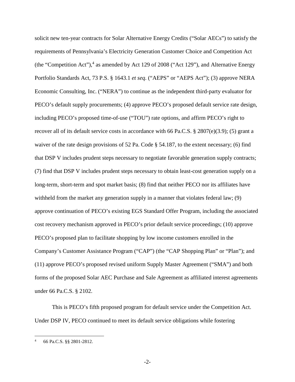solicit new ten-year contracts for Solar Alternative Energy Credits ("Solar AECs") to satisfy the requirements of Pennsylvania's Electricity Generation Customer Choice and Competition Act (the "Competition Act"), $4$  as amended by Act 129 of 2008 ("Act 129"), and Alternative Energy Portfolio Standards Act, 73 P.S. § 1643.1 *et seq*. ("AEPS" or "AEPS Act"); (3) approve NERA Economic Consulting, Inc. ("NERA") to continue as the independent third-party evaluator for PECO's default supply procurements; (4) approve PECO's proposed default service rate design, including PECO's proposed time-of-use ("TOU") rate options, and affirm PECO's right to recover all of its default service costs in accordance with 66 Pa.C.S. § 2807(e)(3.9); (5) grant a waiver of the rate design provisions of 52 Pa. Code § 54.187, to the extent necessary; (6) find that DSP V includes prudent steps necessary to negotiate favorable generation supply contracts; (7) find that DSP V includes prudent steps necessary to obtain least-cost generation supply on a long-term, short-term and spot market basis; (8) find that neither PECO nor its affiliates have withheld from the market any generation supply in a manner that violates federal law; (9) approve continuation of PECO's existing EGS Standard Offer Program, including the associated cost recovery mechanism approved in PECO's prior default service proceedings; (10) approve PECO's proposed plan to facilitate shopping by low income customers enrolled in the Company's Customer Assistance Program ("CAP") (the "CAP Shopping Plan" or "Plan"); and (11) approve PECO's proposed revised uniform Supply Master Agreement ("SMA") and both forms of the proposed Solar AEC Purchase and Sale Agreement as affiliated interest agreements under 66 Pa.C.S. § 2102.

This is PECO's fifth proposed program for default service under the Competition Act. Under DSP IV, PECO continued to meet its default service obligations while fostering

<sup>4</sup> 66 Pa.C.S. §§ 2801-2812.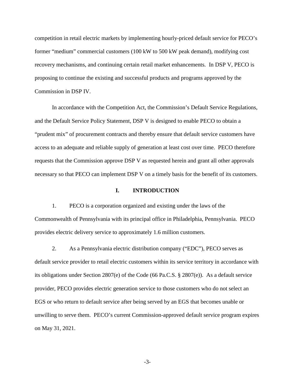competition in retail electric markets by implementing hourly-priced default service for PECO's former "medium" commercial customers (100 kW to 500 kW peak demand), modifying cost recovery mechanisms, and continuing certain retail market enhancements. In DSP V, PECO is proposing to continue the existing and successful products and programs approved by the Commission in DSP IV.

In accordance with the Competition Act, the Commission's Default Service Regulations, and the Default Service Policy Statement, DSP V is designed to enable PECO to obtain a "prudent mix" of procurement contracts and thereby ensure that default service customers have access to an adequate and reliable supply of generation at least cost over time. PECO therefore requests that the Commission approve DSP V as requested herein and grant all other approvals necessary so that PECO can implement DSP V on a timely basis for the benefit of its customers.

#### **I. INTRODUCTION**

1. PECO is a corporation organized and existing under the laws of the Commonwealth of Pennsylvania with its principal office in Philadelphia, Pennsylvania. PECO provides electric delivery service to approximately 1.6 million customers.

2. As a Pennsylvania electric distribution company ("EDC"), PECO serves as default service provider to retail electric customers within its service territory in accordance with its obligations under Section 2807(e) of the Code (66 Pa.C.S. § 2807(e)). As a default service provider, PECO provides electric generation service to those customers who do not select an EGS or who return to default service after being served by an EGS that becomes unable or unwilling to serve them. PECO's current Commission-approved default service program expires on May 31, 2021.

-3-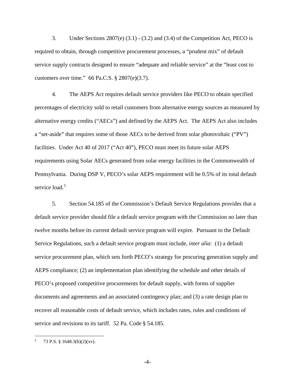3. Under Sections  $2807(e)$  (3.1) - (3.2) and (3.4) of the Competition Act, PECO is required to obtain, through competitive procurement processes, a "prudent mix" of default service supply contracts designed to ensure "adequate and reliable service" at the "least cost to customers over time." 66 Pa.C.S. § 2807(e)(3.7).

4. The AEPS Act requires default service providers like PECO to obtain specified percentages of electricity sold to retail customers from alternative energy sources as measured by alternative energy credits ("AECs") and defined by the AEPS Act. The AEPS Act also includes a "set-aside" that requires some of those AECs to be derived from solar photovoltaic ("PV") facilities. Under Act 40 of 2017 ("Act 40"), PECO must meet its future solar AEPS requirements using Solar AECs generated from solar energy facilities in the Commonwealth of Pennsylvania. During DSP V, PECO's solar AEPS requirement will be 0.5% of its total default service load.<sup>5</sup>

5. Section 54.185 of the Commission's Default Service Regulations provides that a default service provider should file a default service program with the Commission no later than twelve months before its current default service program will expire. Pursuant to the Default Service Regulations, such a default service program must include, *inter alia*: (1) a default service procurement plan, which sets forth PECO's strategy for procuring generation supply and AEPS compliance; (2) an implementation plan identifying the schedule and other details of PECO's proposed competitive procurements for default supply, with forms of supplier documents and agreements and an associated contingency plan; and (3) a rate design plan to recover all reasonable costs of default service, which includes rates, rules and conditions of service and revisions to its tariff. 52 Pa. Code § 54.185.

-4-

<sup>5</sup> 73 P.S. § 1648.3(b)(2)(xv).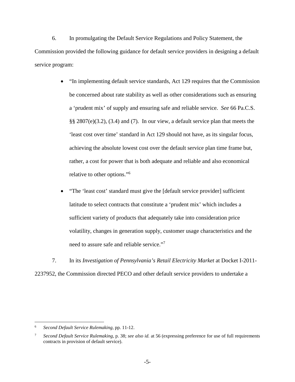6. In promulgating the Default Service Regulations and Policy Statement, the Commission provided the following guidance for default service providers in designing a default service program:

- "In implementing default service standards, Act 129 requires that the Commission be concerned about rate stability as well as other considerations such as ensuring a 'prudent mix' of supply and ensuring safe and reliable service. *See* 66 Pa.C.S. §§ 2807(e)(3.2), (3.4) and (7). In our view, a default service plan that meets the 'least cost over time' standard in Act 129 should not have, as its singular focus, achieving the absolute lowest cost over the default service plan time frame but, rather, a cost for power that is both adequate and reliable and also economical relative to other options."<sup>6</sup>
- "The 'least cost' standard must give the [default service provider] sufficient latitude to select contracts that constitute a 'prudent mix' which includes a sufficient variety of products that adequately take into consideration price volatility, changes in generation supply, customer usage characteristics and the need to assure safe and reliable service."<sup>7</sup>

7. In its *Investigation of Pennsylvania's Retail Electricity Market* at Docket I-2011- 2237952, the Commission directed PECO and other default service providers to undertake a

<sup>6</sup> *Second Default Service Rulemaking,* pp. 11-12.

<sup>7</sup> *Second Default Service Rulemaking,* p. 38; *see also id.* at 56 (expressing preference for use of full requirements contracts in provision of default service).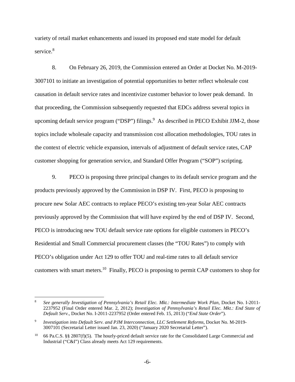variety of retail market enhancements and issued its proposed end state model for default service.<sup>8</sup>

8. On February 26, 2019, the Commission entered an Order at Docket No. M-2019- 3007101 to initiate an investigation of potential opportunities to better reflect wholesale cost causation in default service rates and incentivize customer behavior to lower peak demand. In that proceeding, the Commission subsequently requested that EDCs address several topics in upcoming default service program ("DSP") filings.  $9$  As described in PECO Exhibit JJM-2, those topics include wholesale capacity and transmission cost allocation methodologies, TOU rates in the context of electric vehicle expansion, intervals of adjustment of default service rates, CAP customer shopping for generation service, and Standard Offer Program ("SOP") scripting.

9. PECO is proposing three principal changes to its default service program and the products previously approved by the Commission in DSP IV. First, PECO is proposing to procure new Solar AEC contracts to replace PECO's existing ten-year Solar AEC contracts previously approved by the Commission that will have expired by the end of DSP IV. Second, PECO is introducing new TOU default service rate options for eligible customers in PECO's Residential and Small Commercial procurement classes (the "TOU Rates") to comply with PECO's obligation under Act 129 to offer TOU and real-time rates to all default service customers with smart meters.<sup>10</sup> Finally, PECO is proposing to permit CAP customers to shop for

<sup>8</sup> *See generally Investigation of Pennsylvania's Retail Elec. Mkt.: Intermediate Work Plan*, Docket No. I-2011- 2237952 (Final Order entered Mar. 2, 2012); *Investigation of Pennsylvania's Retail Elec. Mkt.: End State of Default Serv.*, Docket No. I-2011-2237952 (Order entered Feb. 15, 2013) ("*End State Order*").

<sup>9</sup> *Investigation into Default Serv. and PJM Interconnection, LLC Settlement Reforms*, Docket No. M-2019- 3007101 (Secretarial Letter issued Jan. 23, 2020) ("January 2020 Secretarial Letter").

<sup>&</sup>lt;sup>10</sup> 66 Pa.C.S. §§ 2807(f)(5). The hourly-priced default service rate for the Consolidated Large Commercial and Industrial ("C&I") Class already meets Act 129 requirements.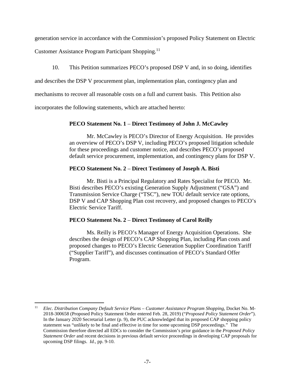generation service in accordance with the Commission's proposed Policy Statement on Electric

Customer Assistance Program Participant Shopping.<sup>11</sup>

10. This Petition summarizes PECO's proposed DSP V and, in so doing, identifies

and describes the DSP V procurement plan, implementation plan, contingency plan and

mechanisms to recover all reasonable costs on a full and current basis. This Petition also

incorporates the following statements, which are attached hereto:

## **PECO Statement No. 1** – **Direct Testimony of John J. McCawley**

Mr. McCawley is PECO's Director of Energy Acquisition. He provides an overview of PECO's DSP V, including PECO's proposed litigation schedule for these proceedings and customer notice, and describes PECO's proposed default service procurement, implementation, and contingency plans for DSP V.

## **PECO Statement No. 2** – **Direct Testimony of Joseph A. Bisti**

Mr. Bisti is a Principal Regulatory and Rates Specialist for PECO. Mr. Bisti describes PECO's existing Generation Supply Adjustment ("GSA") and Transmission Service Charge ("TSC"), new TOU default service rate options, DSP V and CAP Shopping Plan cost recovery, and proposed changes to PECO's Electric Service Tariff.

# **PECO Statement No. 2** – **Direct Testimony of Carol Reilly**

Ms. Reilly is PECO's Manager of Energy Acquisition Operations. She describes the design of PECO's CAP Shopping Plan, including Plan costs and proposed changes to PECO's Electric Generation Supplier Coordination Tariff ("Supplier Tariff"), and discusses continuation of PECO's Standard Offer Program.

<sup>11</sup> *Elec. Distribution Company Default Service Plans – Customer Assistance Program Shopping*, Docket No. M-2018-300658 (Proposed Policy Statement Order entered Feb. 28, 2019) ("*Proposed Policy Statement Order*"). In the January 2020 Secretarial Letter (p. 9), the PUC acknowledged that its proposed CAP shopping policy statement was "unlikely to be final and effective in time for some upcoming DSP proceedings." The Commission therefore directed all EDCs to consider the Commission's prior guidance in the *Proposed Policy Statement Order* and recent decisions in previous default service proceedings in developing CAP proposals for upcoming DSP filings. *Id.*, pp. 9-10.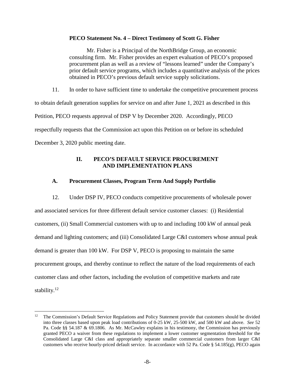## **PECO Statement No. 4 – Direct Testimony of Scott G. Fisher**

Mr. Fisher is a Principal of the NorthBridge Group, an economic consulting firm. Mr. Fisher provides an expert evaluation of PECO's proposed procurement plan as well as a review of "lessons learned" under the Company's prior default service programs, which includes a quantitative analysis of the prices obtained in PECO's previous default service supply solicitations.

11. In order to have sufficient time to undertake the competitive procurement process to obtain default generation supplies for service on and after June 1, 2021 as described in this Petition, PECO requests approval of DSP V by December 2020. Accordingly, PECO respectfully requests that the Commission act upon this Petition on or before its scheduled December 3, 2020 public meeting date.

## **II. PECO'S DEFAULT SERVICE PROCUREMENT AND IMPLEMENTATION PLANS**

# **A. Procurement Classes, Program Term And Supply Portfolio**

12. Under DSP IV, PECO conducts competitive procurements of wholesale power and associated services for three different default service customer classes: (i) Residential customers, (ii) Small Commercial customers with up to and including 100 kW of annual peak demand and lighting customers; and (iii) Consolidated Large C&I customers whose annual peak demand is greater than 100 kW. For DSP V, PECO is proposing to maintain the same procurement groups, and thereby continue to reflect the nature of the load requirements of each customer class and other factors, including the evolution of competitive markets and rate stability.<sup>12</sup>

<sup>&</sup>lt;sup>12</sup> The Commission's Default Service Regulations and Policy Statement provide that customers should be divided into three classes based upon peak load contributions of 0-25 kW, 25-500 kW, and 500 kW and above. *See* 52 Pa. Code §§ 54.187 & 69.1806. As Mr. McCawley explains in his testimony, the Commission has previously granted PECO a waiver from these regulations to implement a lower customer segmentation threshold for the Consolidated Large C&I class and appropriately separate smaller commercial customers from larger C&I customers who receive hourly-priced default service. In accordance with 52 Pa. Code § 54.185(g), PECO again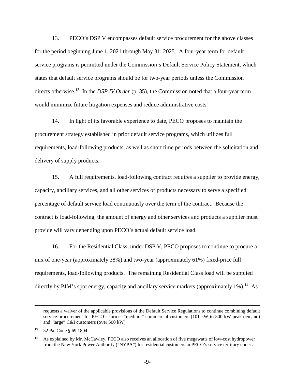13. PECO's DSP V encompasses default service procurement for the above classes for the period beginning June 1, 2021 through May 31, 2025. A four-year term for default service programs is permitted under the Commission's Default Service Policy Statement, which states that default service programs should be for two-year periods unless the Commission directs otherwise.<sup>13</sup> In the *DSP IV Order* (p. 35), the Commission noted that a four-year term would minimize future litigation expenses and reduce administrative costs.

14. In light of its favorable experience to date, PECO proposes to maintain the procurement strategy established in prior default service programs, which utilizes full requirements, load-following products, as well as short time periods between the solicitation and delivery of supply products.

15. A full requirements, load-following contract requires a supplier to provide energy, capacity, ancillary services, and all other services or products necessary to serve a specified percentage of default service load continuously over the term of the contract. Because the contract is load-following, the amount of energy and other services and products a supplier must provide will vary depending upon PECO's actual default service load.

16. For the Residential Class, under DSP V, PECO proposes to continue to procure a mix of one-year (approximately 38%) and two-year (approximately 61%) fixed-price full requirements, load-following products. The remaining Residential Class load will be supplied directly by PJM's spot energy, capacity and ancillary service markets (approximately  $1\%$ ).<sup>14</sup> As

requests a waiver of the applicable provisions of the Default Service Regulations to continue combining default service procurement for PECO's former "medium" commercial customers (101 kW to 500 kW peak demand) and "large" C&I customers (over 500 kW).

<sup>13</sup> 52 Pa. Code § 69.1804.

<sup>&</sup>lt;sup>14</sup> As explained by Mr. McCawley, PECO also receives an allocation of five megawatts of low-cost hydropower from the New York Power Authority ("NYPA") for residential customers in PECO's service territory under a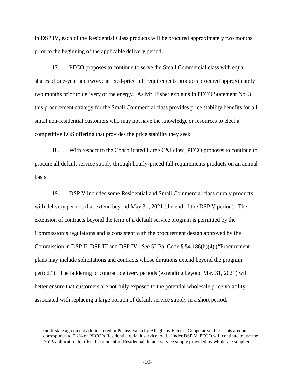in DSP IV, each of the Residential Class products will be procured approximately two months prior to the beginning of the applicable delivery period.

17. PECO proposes to continue to serve the Small Commercial class with equal shares of one-year and two-year fixed-price full requirements products procured approximately two months prior to delivery of the energy. As Mr. Fisher explains in PECO Statement No. 3, this procurement strategy for the Small Commercial class provides price stability benefits for all small non-residential customers who may not have the knowledge or resources to elect a competitive EGS offering that provides the price stability they seek.

18. With respect to the Consolidated Large C&I class, PECO proposes to continue to procure all default service supply through hourly-priced full requirements products on an annual basis.

19. DSP V includes some Residential and Small Commercial class supply products with delivery periods that extend beyond May 31, 2021 (the end of the DSP V period). The extension of contracts beyond the term of a default service program is permitted by the Commission's regulations and is consistent with the procurement design approved by the Commission in DSP II, DSP III and DSP IV. *See* 52 Pa. Code § 54.186(b)(4) ("Procurement plans may include solicitations and contracts whose durations extend beyond the program period."). The laddering of contract delivery periods (extending beyond May 31, 2021) will better ensure that customers are not fully exposed to the potential wholesale price volatility associated with replacing a large portion of default service supply in a short period.

multi-state agreement administered in Pennsylvania by Allegheny Electric Cooperative, Inc. This amount corresponds to 0.2% of PECO's Residential default service load. Under DSP V, PECO will continue to use the NYPA allocation to offset the amount of Residential default service supply provided by wholesale suppliers.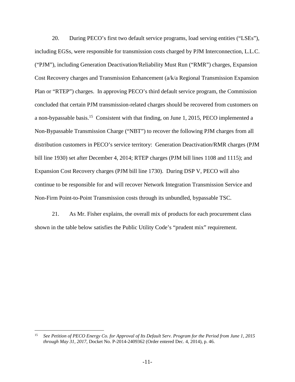20. During PECO's first two default service programs, load serving entities ("LSEs"), including EGSs, were responsible for transmission costs charged by PJM Interconnection, L.L.C. ("PJM"), including Generation Deactivation/Reliability Must Run ("RMR") charges, Expansion Cost Recovery charges and Transmission Enhancement (a/k/a Regional Transmission Expansion Plan or "RTEP") charges. In approving PECO's third default service program, the Commission concluded that certain PJM transmission-related charges should be recovered from customers on a non-bypassable basis.<sup>15</sup> Consistent with that finding, on June 1, 2015, PECO implemented a Non-Bypassable Transmission Charge ("NBT") to recover the following PJM charges from all distribution customers in PECO's service territory: Generation Deactivation/RMR charges (PJM bill line 1930) set after December 4, 2014; RTEP charges (PJM bill lines 1108 and 1115); and Expansion Cost Recovery charges (PJM bill line 1730). During DSP V, PECO will also continue to be responsible for and will recover Network Integration Transmission Service and Non-Firm Point-to-Point Transmission costs through its unbundled, bypassable TSC.

21. As Mr. Fisher explains, the overall mix of products for each procurement class shown in the table below satisfies the Public Utility Code's "prudent mix" requirement.

<sup>15</sup> *See Petition of PECO Energy Co. for Approval of Its Default Serv. Program for the Period from June 1, 2015 through May 31, 2017*, Docket No. P-2014-2409362 (Order entered Dec. 4, 2014), p. 46.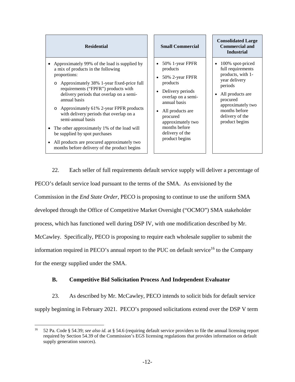- Approximately 99% of the load is supplied by a mix of products in the following proportions:
	- o Approximately 38% 1-year fixed-price full requirements ("FPFR") products with delivery periods that overlap on a semiannual basis
	- o Approximately 61% 2-year FPFR products with delivery periods that overlap on a semi-annual basis
- The other approximately 1% of the load will be supplied by spot purchases
- All products are procured approximately two months before delivery of the product begins

#### **Residential Small Commercial**

- 50% 1-year FPFR products
- 50% 2-year FPFR products
- Delivery periods overlap on a semiannual basis
- All products are procured approximately two months before delivery of the product begins

#### **Consolidated Large Commercial and Industrial**

- 100% spot-priced full requirements products, with 1 year delivery periods
- All products are procured approximately two months before delivery of the product begins

22. Each seller of full requirements default service supply will deliver a percentage of PECO's default service load pursuant to the terms of the SMA. As envisioned by the Commission in the *End State Order*, PECO is proposing to continue to use the uniform SMA developed through the Office of Competitive Market Oversight ("OCMO") SMA stakeholder process, which has functioned well during DSP IV, with one modification described by Mr. McCawley. Specifically, PECO is proposing to require each wholesale supplier to submit the information required in PECO's annual report to the PUC on default service<sup>16</sup> to the Company for the energy supplied under the SMA.

# **B. Competitive Bid Solicitation Process And Independent Evaluator**

23. As described by Mr. McCawley, PECO intends to solicit bids for default service supply beginning in February 2021. PECO's proposed solicitations extend over the DSP V term

<sup>16</sup> 52 Pa. Code § 54.39; *see also id.* at § 54.6 (requiring default service providers to file the annual licensing report required by Section 54.39 of the Commission's EGS licensing regulations that provides information on default supply generation sources).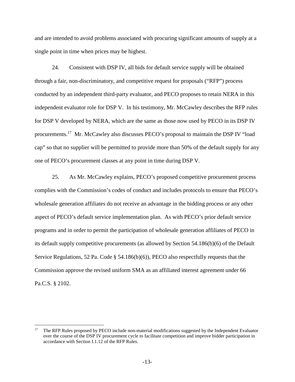and are intended to avoid problems associated with procuring significant amounts of supply at a single point in time when prices may be highest.

24. Consistent with DSP IV, all bids for default service supply will be obtained through a fair, non-discriminatory, and competitive request for proposals ("RFP") process conducted by an independent third-party evaluator, and PECO proposes to retain NERA in this independent evaluator role for DSP V. In his testimony, Mr. McCawley describes the RFP rules for DSP V developed by NERA, which are the same as those now used by PECO in its DSP IV procurements.<sup>17</sup> Mr. McCawley also discusses PECO's proposal to maintain the DSP IV "load cap" so that no supplier will be permitted to provide more than 50% of the default supply for any one of PECO's procurement classes at any point in time during DSP V.

25. As Mr. McCawley explains, PECO's proposed competitive procurement process complies with the Commission's codes of conduct and includes protocols to ensure that PECO's wholesale generation affiliates do not receive an advantage in the bidding process or any other aspect of PECO's default service implementation plan. As with PECO's prior default service programs and in order to permit the participation of wholesale generation affiliates of PECO in its default supply competitive procurements (as allowed by Section 54.186(b)(6) of the Default Service Regulations, 52 Pa. Code § 54.186(b)(6)), PECO also respectfully requests that the Commission approve the revised uniform SMA as an affiliated interest agreement under 66 Pa.C.S. § 2102.

<sup>&</sup>lt;sup>17</sup> The RFP Rules proposed by PECO include non-material modifications suggested by the Independent Evaluator over the course of the DSP IV procurement cycle to facilitate competition and improve bidder participation in accordance with Section I.1.12 of the RFP Rules.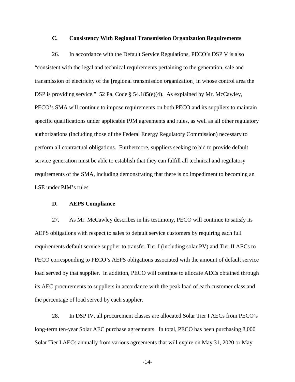### **C. Consistency With Regional Transmission Organization Requirements**

26. In accordance with the Default Service Regulations, PECO's DSP V is also "consistent with the legal and technical requirements pertaining to the generation, sale and transmission of electricity of the [regional transmission organization] in whose control area the DSP is providing service." 52 Pa. Code § 54.185(e)(4). As explained by Mr. McCawley, PECO's SMA will continue to impose requirements on both PECO and its suppliers to maintain specific qualifications under applicable PJM agreements and rules, as well as all other regulatory authorizations (including those of the Federal Energy Regulatory Commission) necessary to perform all contractual obligations. Furthermore, suppliers seeking to bid to provide default service generation must be able to establish that they can fulfill all technical and regulatory requirements of the SMA, including demonstrating that there is no impediment to becoming an LSE under PJM's rules.

#### **D. AEPS Compliance**

27. As Mr. McCawley describes in his testimony, PECO will continue to satisfy its AEPS obligations with respect to sales to default service customers by requiring each full requirements default service supplier to transfer Tier I (including solar PV) and Tier II AECs to PECO corresponding to PECO's AEPS obligations associated with the amount of default service load served by that supplier. In addition, PECO will continue to allocate AECs obtained through its AEC procurements to suppliers in accordance with the peak load of each customer class and the percentage of load served by each supplier.

28. In DSP IV, all procurement classes are allocated Solar Tier I AECs from PECO's long-term ten-year Solar AEC purchase agreements. In total, PECO has been purchasing 8,000 Solar Tier I AECs annually from various agreements that will expire on May 31, 2020 or May

-14-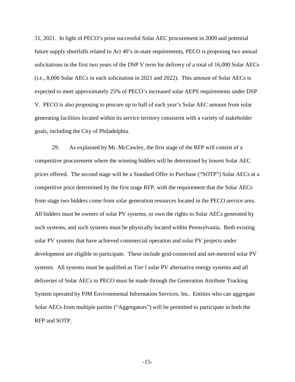31, 2021. In light of PECO's prior successful Solar AEC procurement in 2009 and potential future supply shortfalls related to Act 40's in-state requirements, PECO is proposing two annual solicitations in the first two years of the DSP V term for delivery of a total of 16,000 Solar AECs (i.e., 8,000 Solar AECs in each solicitation in 2021 and 2022). This amount of Solar AECs is expected to meet approximately 25% of PECO's increased solar AEPS requirements under DSP V. PECO is also proposing to procure up to half of each year's Solar AEC amount from solar generating facilities located within its service territory consistent with a variety of stakeholder goals, including the City of Philadelphia.

29. As explained by Mr. McCawley, the first stage of the RFP will consist of a competitive procurement where the winning bidders will be determined by lowest Solar AEC prices offered. The second stage will be a Standard Offer to Purchase ("SOTP") Solar AECs at a competitive price determined by the first stage RFP, with the requirement that the Solar AECs from stage two bidders come from solar generation resources located in the PECO service area. All bidders must be owners of solar PV systems, or own the rights to Solar AECs generated by such systems, and such systems must be physically located within Pennsylvania. Both existing solar PV systems that have achieved commercial operation and solar PV projects under development are eligible to participate. These include grid-connected and net-metered solar PV systems. All systems must be qualified as Tier I solar PV alternative energy systems and all deliveries of Solar AECs to PECO must be made through the Generation Attribute Tracking System operated by PJM Environmental Information Services, Inc. Entities who can aggregate Solar AECs from multiple parties ("Aggregators") will be permitted to participate in both the RFP and SOTP.

-15-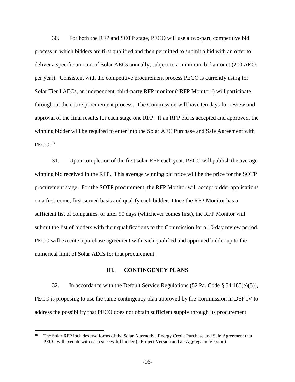30. For both the RFP and SOTP stage, PECO will use a two-part, competitive bid process in which bidders are first qualified and then permitted to submit a bid with an offer to deliver a specific amount of Solar AECs annually, subject to a minimum bid amount (200 AECs per year). Consistent with the competitive procurement process PECO is currently using for Solar Tier I AECs, an independent, third-party RFP monitor ("RFP Monitor") will participate throughout the entire procurement process. The Commission will have ten days for review and approval of the final results for each stage one RFP. If an RFP bid is accepted and approved, the winning bidder will be required to enter into the Solar AEC Purchase and Sale Agreement with  $PECO.<sup>18</sup>$ 

31. Upon completion of the first solar RFP each year, PECO will publish the average winning bid received in the RFP. This average winning bid price will be the price for the SOTP procurement stage. For the SOTP procurement, the RFP Monitor will accept bidder applications on a first-come, first-served basis and qualify each bidder. Once the RFP Monitor has a sufficient list of companies, or after 90 days (whichever comes first), the RFP Monitor will submit the list of bidders with their qualifications to the Commission for a 10-day review period. PECO will execute a purchase agreement with each qualified and approved bidder up to the numerical limit of Solar AECs for that procurement.

## **III. CONTINGENCY PLANS**

32. In accordance with the Default Service Regulations (52 Pa. Code § 54.185(e)(5)), PECO is proposing to use the same contingency plan approved by the Commission in DSP IV to address the possibility that PECO does not obtain sufficient supply through its procurement

<sup>&</sup>lt;sup>18</sup> The Solar RFP includes two forms of the Solar Alternative Energy Credit Purchase and Sale Agreement that PECO will execute with each successful bidder (a Project Version and an Aggregator Version).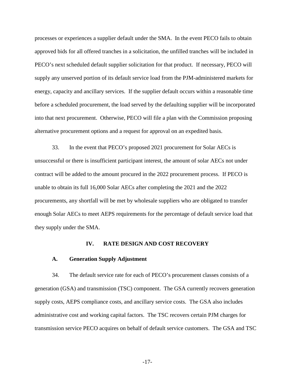processes or experiences a supplier default under the SMA. In the event PECO fails to obtain approved bids for all offered tranches in a solicitation, the unfilled tranches will be included in PECO's next scheduled default supplier solicitation for that product. If necessary, PECO will supply any unserved portion of its default service load from the PJM-administered markets for energy, capacity and ancillary services. If the supplier default occurs within a reasonable time before a scheduled procurement, the load served by the defaulting supplier will be incorporated into that next procurement. Otherwise, PECO will file a plan with the Commission proposing alternative procurement options and a request for approval on an expedited basis.

33. In the event that PECO's proposed 2021 procurement for Solar AECs is unsuccessful or there is insufficient participant interest, the amount of solar AECs not under contract will be added to the amount procured in the 2022 procurement process. If PECO is unable to obtain its full 16,000 Solar AECs after completing the 2021 and the 2022 procurements, any shortfall will be met by wholesale suppliers who are obligated to transfer enough Solar AECs to meet AEPS requirements for the percentage of default service load that they supply under the SMA.

#### **IV. RATE DESIGN AND COST RECOVERY**

#### **A. Generation Supply Adjustment**

34. The default service rate for each of PECO's procurement classes consists of a generation (GSA) and transmission (TSC) component. The GSA currently recovers generation supply costs, AEPS compliance costs, and ancillary service costs. The GSA also includes administrative cost and working capital factors. The TSC recovers certain PJM charges for transmission service PECO acquires on behalf of default service customers. The GSA and TSC

-17-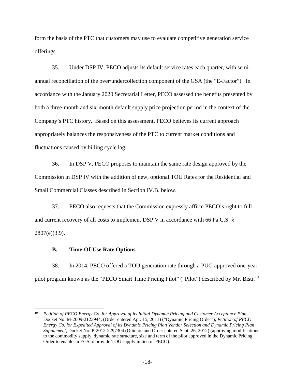form the basis of the PTC that customers may use to evaluate competitive generation service offerings.

35. Under DSP IV, PECO adjusts its default service rates each quarter, with semiannual reconciliation of the over/undercollection component of the GSA (the "E-Factor"). In accordance with the January 2020 Secretarial Letter, PECO assessed the benefits presented by both a three-month and six-month default supply price projection period in the context of the Company's PTC history. Based on this assessment, PECO believes its current approach appropriately balances the responsiveness of the PTC to current market conditions and fluctuations caused by billing cycle lag.

36. In DSP V, PECO proposes to maintain the same rate design approved by the Commission in DSP IV with the addition of new, optional TOU Rates for the Residential and Small Commercial Classes described in Section IV.B. below.

37. PECO also requests that the Commission expressly affirm PECO's right to full and current recovery of all costs to implement DSP V in accordance with 66 Pa.C.S. § 2807(e)(3.9).

## **B. Time-Of-Use Rate Options**

38. In 2014, PECO offered a TOU generation rate through a PUC-approved one-year pilot program known as the "PECO Smart Time Pricing Pilot" ("Pilot") described by Mr. Bisti.<sup>19</sup>

<sup>19</sup> *Petition of PECO Energy Co. for Approval of its Initial Dynamic Pricing and Customer Acceptance Plan,*  Docket No. M-2009-2123944, (Order entered Apr. 15, 2011) ("Dynamic Pricing Order"); *Petition of PECO Energy Co. for Expedited Approval of its Dynamic Pricing Plan Vendor Selection and Dynamic Pricing Plan Supplement*, Docket No. P-2012-2297304 (Opinion and Order entered Sept. 26, 2012) (approving modifications to the commodity supply, dynamic rate structure, size and term of the pilot approved in the Dynamic Pricing Order to enable an EGS to provide TOU supply in lieu of PECO).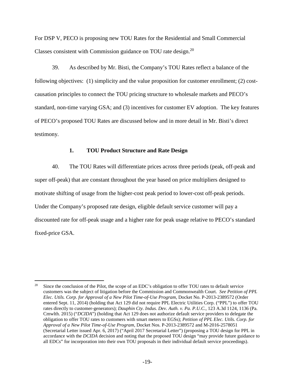For DSP V, PECO is proposing new TOU Rates for the Residential and Small Commercial Classes consistent with Commission guidance on TOU rate design.<sup>20</sup>

39. As described by Mr. Bisti, the Company's TOU Rates reflect a balance of the following objectives: (1) simplicity and the value proposition for customer enrollment; (2) costcausation principles to connect the TOU pricing structure to wholesale markets and PECO's standard, non-time varying GSA; and (3) incentives for customer EV adoption. The key features of PECO's proposed TOU Rates are discussed below and in more detail in Mr. Bisti's direct testimony.

### **1. TOU Product Structure and Rate Design**

40. The TOU Rates will differentiate prices across three periods (peak, off-peak and super off-peak) that are constant throughout the year based on price multipliers designed to motivate shifting of usage from the higher-cost peak period to lower-cost off-peak periods. Under the Company's proposed rate design, eligible default service customer will pay a discounted rate for off-peak usage and a higher rate for peak usage relative to PECO's standard fixed-price GSA.

<sup>20</sup> Since the conclusion of the Pilot, the scope of an EDC's obligation to offer TOU rates to default service customers was the subject of litigation before the Commission and Commonwealth Court. *See Petition of PPL Elec. Utils. Corp. for Approval of a New Pilot Time-of-Use Program*, Docket No. P-2013-2389572 (Order entered Sept. 11, 2014) (holding that Act 129 did not require PPL Electric Utilities Corp. ("PPL") to offer TOU rates directly to customer-generators); *Dauphin Cty. Indus. Dev. Auth. v. Pa. P.U.C.*, 123 A.3d 1124, 1136 (Pa. Cmwlth. 2015) ("*DCIDA*") (holding that Act 129 does not authorize default service providers to delegate the obligation to offer TOU rates to customers with smart meters to EGSs); *Petition of PPL Elec. Utils. Corp. for Approval of a New Pilot Time-of-Use Program*, Docket Nos. P-2013-2389572 and M-2016-2578051 (Secretarial Letter issued Apr. 6, 2017) ("April 2017 Secretarial Letter") (proposing a TOU design for PPL in accordance with the *DCIDA* decision and noting that the proposed TOU design "may provide future guidance to all EDCs" for incorporation into their own TOU proposals in their individual default service proceedings).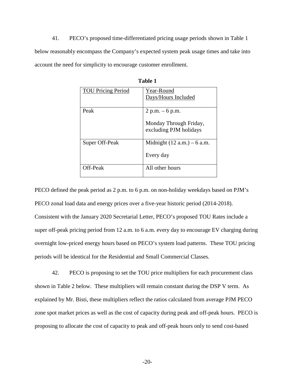41. PECO's proposed time-differentiated pricing usage periods shown in Table 1 below reasonably encompass the Company's expected system peak usage times and take into account the need for simplicity to encourage customer enrollment.

| <b>TOU Pricing Period</b> | Year-Round                                       |
|---------------------------|--------------------------------------------------|
|                           | Days/Hours Included                              |
|                           |                                                  |
| Peak                      | $2 p.m. - 6 p.m.$                                |
|                           | Monday Through Friday,<br>excluding PJM holidays |
| Super Off-Peak            | Midnight $(12 a.m.) - 6 a.m.$                    |
|                           | Every day                                        |
| Off-Peak                  | All other hours                                  |

**Table 1** 

PECO defined the peak period as 2 p.m. to 6 p.m. on non-holiday weekdays based on PJM's PECO zonal load data and energy prices over a five-year historic period (2014-2018). Consistent with the January 2020 Secretarial Letter, PECO's proposed TOU Rates include a super off-peak pricing period from 12 a.m. to 6 a.m. every day to encourage EV charging during overnight low-priced energy hours based on PECO's system load patterns. These TOU pricing periods will be identical for the Residential and Small Commercial Classes.

42. PECO is proposing to set the TOU price multipliers for each procurement class shown in Table 2 below. These multipliers will remain constant during the DSP V term. As explained by Mr. Bisti, these multipliers reflect the ratios calculated from average PJM PECO zone spot market prices as well as the cost of capacity during peak and off-peak hours. PECO is proposing to allocate the cost of capacity to peak and off-peak hours only to send cost-based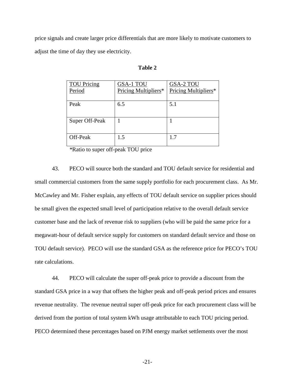price signals and create larger price differentials that are more likely to motivate customers to adjust the time of day they use electricity.

| <b>TOU Pricing</b><br>Period | <b>GSA-1 TOU</b><br>Pricing Multipliers* | GSA-2 TOU<br>Pricing Multipliers* |
|------------------------------|------------------------------------------|-----------------------------------|
| Peak                         | 6.5                                      | 5.1                               |
| Super Off-Peak               |                                          |                                   |
| Off-Peak                     | 1.5                                      | 17                                |

| ۱<br>П<br>L<br>. . |  |
|--------------------|--|
|--------------------|--|

*\**Ratio to super off-peak TOU price

43. PECO will source both the standard and TOU default service for residential and small commercial customers from the same supply portfolio for each procurement class. As Mr. McCawley and Mr. Fisher explain, any effects of TOU default service on supplier prices should be small given the expected small level of participation relative to the overall default service customer base and the lack of revenue risk to suppliers (who will be paid the same price for a megawatt-hour of default service supply for customers on standard default service and those on TOU default service). PECO will use the standard GSA as the reference price for PECO's TOU rate calculations.

44. PECO will calculate the super off-peak price to provide a discount from the standard GSA price in a way that offsets the higher peak and off-peak period prices and ensures revenue neutrality. The revenue neutral super off-peak price for each procurement class will be derived from the portion of total system kWh usage attributable to each TOU pricing period. PECO determined these percentages based on PJM energy market settlements over the most

-21-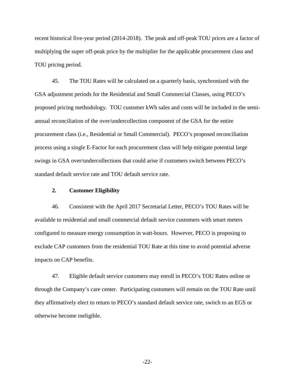recent historical five-year period (2014-2018). The peak and off-peak TOU prices are a factor of multiplying the super off-peak price by the multiplier for the applicable procurement class and TOU pricing period.

45. The TOU Rates will be calculated on a quarterly basis, synchronized with the GSA adjustment periods for the Residential and Small Commercial Classes, using PECO's proposed pricing methodology. TOU customer kWh sales and costs will be included in the semiannual reconciliation of the over/undercollection component of the GSA for the entire procurement class (i.e., Residential or Small Commercial). PECO's proposed reconciliation process using a single E-Factor for each procurement class will help mitigate potential large swings in GSA over/undercollections that could arise if customers switch between PECO's standard default service rate and TOU default service rate.

### **2. Customer Eligibility**

46. Consistent with the April 2017 Secretarial Letter, PECO's TOU Rates will be available to residential and small commercial default service customers with smart meters configured to measure energy consumption in watt-hours. However, PECO is proposing to exclude CAP customers from the residential TOU Rate at this time to avoid potential adverse impacts on CAP benefits.

47. Eligible default service customers may enroll in PECO's TOU Rates online or through the Company's care center. Participating customers will remain on the TOU Rate until they affirmatively elect to return to PECO's standard default service rate, switch to an EGS or otherwise become ineligible.

-22-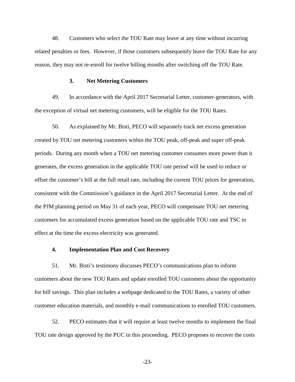48. Customers who select the TOU Rate may leave at any time without incurring related penalties or fees. However, if those customers subsequently leave the TOU Rate for any reason, they may not re-enroll for twelve billing months after switching off the TOU Rate.

#### **3. Net Metering Customers**

49. In accordance with the April 2017 Secretarial Letter, customer-generators, with the exception of virtual net metering customers, will be eligible for the TOU Rates.

50. As explained by Mr. Bisti, PECO will separately track net excess generation created by TOU net metering customers within the TOU peak, off-peak and super off-peak periods. During any month when a TOU net metering customer consumes more power than it generates, the excess generation in the applicable TOU rate period will be used to reduce or offset the customer's bill at the full retail rate, including the current TOU prices for generation, consistent with the Commission's guidance in the April 2017 Secretarial Letter. At the end of the PJM planning period on May 31 of each year, PECO will compensate TOU net metering customers for accumulated excess generation based on the applicable TOU rate and TSC in effect at the time the excess electricity was generated.

## **4. Implementation Plan and Cost Recovery**

51. Mr. Bisti's testimony discusses PECO's communications plan to inform customers about the new TOU Rates and update enrolled TOU customers about the opportunity for bill savings. This plan includes a webpage dedicated to the TOU Rates, a variety of other customer education materials, and monthly e-mail communications to enrolled TOU customers.

52. PECO estimates that it will require at least twelve months to implement the final TOU rate design approved by the PUC in this proceeding. PECO proposes to recover the costs

-23-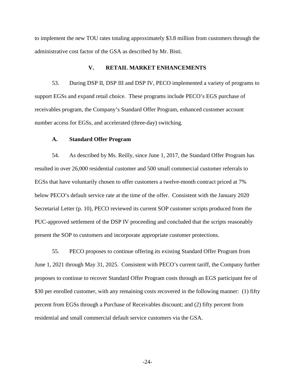to implement the new TOU rates totaling approximately \$3.8 million from customers through the administrative cost factor of the GSA as described by Mr. Bisti.

## **V. RETAIL MARKET ENHANCEMENTS**

53. During DSP II, DSP III and DSP IV, PECO implemented a variety of programs to support EGSs and expand retail choice. These programs include PECO's EGS purchase of receivables program, the Company's Standard Offer Program, enhanced customer account number access for EGSs, and accelerated (three-day) switching.

#### **A. Standard Offer Program**

54. As described by Ms. Reilly, since June 1, 2017, the Standard Offer Program has resulted in over 26,000 residential customer and 500 small commercial customer referrals to EGSs that have voluntarily chosen to offer customers a twelve-month contract priced at 7% below PECO's default service rate at the time of the offer. Consistent with the January 2020 Secretarial Letter (p. 10), PECO reviewed its current SOP customer scripts produced from the PUC-approved settlement of the DSP IV proceeding and concluded that the scripts reasonably present the SOP to customers and incorporate appropriate customer protections.

55. PECO proposes to continue offering its existing Standard Offer Program from June 1, 2021 through May 31, 2025. Consistent with PECO's current tariff, the Company further proposes to continue to recover Standard Offer Program costs through an EGS participant fee of \$30 per enrolled customer, with any remaining costs recovered in the following manner: (1) fifty percent from EGSs through a Purchase of Receivables discount; and (2) fifty percent from residential and small commercial default service customers via the GSA.

-24-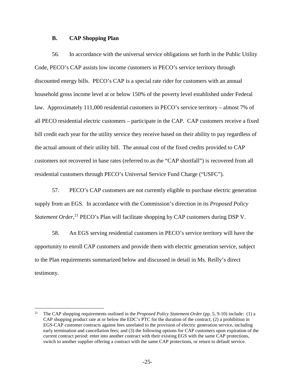#### **B. CAP Shopping Plan**

56. In accordance with the universal service obligations set forth in the Public Utility Code, PECO's CAP assists low income customers in PECO's service territory through discounted energy bills. PECO's CAP is a special rate rider for customers with an annual household gross income level at or below 150% of the poverty level established under Federal law. Approximately 111,000 residential customers in PECO's service territory – almost 7% of all PECO residential electric customers – participate in the CAP. CAP customers receive a fixed bill credit each year for the utility service they receive based on their ability to pay regardless of the actual amount of their utility bill. The annual cost of the fixed credits provided to CAP customers not recovered in base rates (referred to as the "CAP shortfall") is recovered from all residential customers through PECO's Universal Service Fund Charge ("USFC").

57. PECO's CAP customers are not currently eligible to purchase electric generation supply from an EGS. In accordance with the Commission's direction in its *Proposed Policy*  Statement Order,<sup>21</sup> PECO's Plan will facilitate shopping by CAP customers during DSP V.

58. An EGS serving residential customers in PECO's service territory will have the opportunity to enroll CAP customers and provide them with electric generation service, subject to the Plan requirements summarized below and discussed in detail in Ms. Reilly's direct testimony.

<sup>21</sup> The CAP shopping requirements outlined in the *Proposed Policy Statement Order* (pp. 5, 9-10) include: (1) a CAP shopping product rate at or below the EDC's PTC for the duration of the contract; (2) a prohibition in EGS-CAP customer contracts against fees unrelated to the provision of electric generation service, including early termination and cancellation fees; and (3) the following options for CAP customers upon expiration of the current contract period: enter into another contract with their existing EGS with the same CAP protections, switch to another supplier offering a contract with the same CAP protections, or return to default service.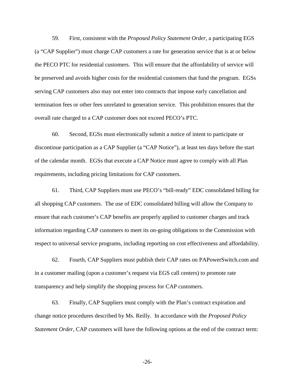59. First, consistent with the *Proposed Policy Statement Order*, a participating EGS (a "CAP Supplier") must charge CAP customers a rate for generation service that is at or below the PECO PTC for residential customers. This will ensure that the affordability of service will be preserved and avoids higher costs for the residential customers that fund the program. EGSs serving CAP customers also may not enter into contracts that impose early cancellation and termination fees or other fees unrelated to generation service. This prohibition ensures that the overall rate charged to a CAP customer does not exceed PECO's PTC.

60. Second, EGSs must electronically submit a notice of intent to participate or discontinue participation as a CAP Supplier (a "CAP Notice"), at least ten days before the start of the calendar month. EGSs that execute a CAP Notice must agree to comply with all Plan requirements, including pricing limitations for CAP customers.

61. Third, CAP Suppliers must use PECO's "bill-ready" EDC consolidated billing for all shopping CAP customers. The use of EDC consolidated billing will allow the Company to ensure that each customer's CAP benefits are properly applied to customer charges and track information regarding CAP customers to meet its on-going obligations to the Commission with respect to universal service programs, including reporting on cost effectiveness and affordability.

62. Fourth, CAP Suppliers must publish their CAP rates on PAPowerSwitch.com and in a customer mailing (upon a customer's request via EGS call centers) to promote rate transparency and help simplify the shopping process for CAP customers.

63. Finally, CAP Suppliers must comply with the Plan's contract expiration and change notice procedures described by Ms. Reilly. In accordance with the *Proposed Policy Statement Order*, CAP customers will have the following options at the end of the contract term:

-26-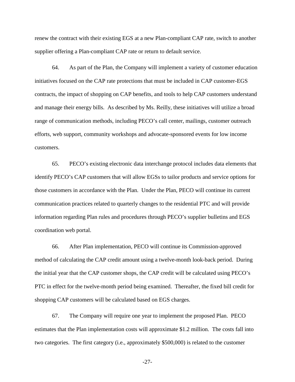renew the contract with their existing EGS at a new Plan-compliant CAP rate, switch to another supplier offering a Plan-compliant CAP rate or return to default service.

64. As part of the Plan, the Company will implement a variety of customer education initiatives focused on the CAP rate protections that must be included in CAP customer-EGS contracts, the impact of shopping on CAP benefits, and tools to help CAP customers understand and manage their energy bills. As described by Ms. Reilly, these initiatives will utilize a broad range of communication methods, including PECO's call center, mailings, customer outreach efforts, web support, community workshops and advocate-sponsored events for low income customers.

65. PECO's existing electronic data interchange protocol includes data elements that identify PECO's CAP customers that will allow EGSs to tailor products and service options for those customers in accordance with the Plan. Under the Plan, PECO will continue its current communication practices related to quarterly changes to the residential PTC and will provide information regarding Plan rules and procedures through PECO's supplier bulletins and EGS coordination web portal.

66. After Plan implementation, PECO will continue its Commission-approved method of calculating the CAP credit amount using a twelve-month look-back period. During the initial year that the CAP customer shops, the CAP credit will be calculated using PECO's PTC in effect for the twelve-month period being examined. Thereafter, the fixed bill credit for shopping CAP customers will be calculated based on EGS charges.

67. The Company will require one year to implement the proposed Plan. PECO estimates that the Plan implementation costs will approximate \$1.2 million. The costs fall into two categories. The first category (i.e., approximately \$500,000) is related to the customer

-27-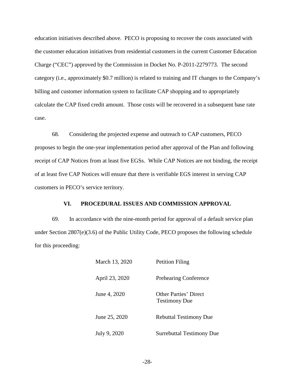education initiatives described above. PECO is proposing to recover the costs associated with the customer education initiatives from residential customers in the current Customer Education Charge ("CEC") approved by the Commission in Docket No. P-2011-2279773. The second category (i.e., approximately \$0.7 million) is related to training and IT changes to the Company's billing and customer information system to facilitate CAP shopping and to appropriately calculate the CAP fixed credit amount. Those costs will be recovered in a subsequent base rate case.

68. Considering the projected expense and outreach to CAP customers, PECO proposes to begin the one-year implementation period after approval of the Plan and following receipt of CAP Notices from at least five EGSs. While CAP Notices are not binding, the receipt of at least five CAP Notices will ensure that there is verifiable EGS interest in serving CAP customers in PECO's service territory.

#### **VI. PROCEDURAL ISSUES AND COMMISSION APPROVAL**

69. In accordance with the nine-month period for approval of a default service plan under Section 2807(e)(3.6) of the Public Utility Code, PECO proposes the following schedule for this proceeding:

| March 13, 2020 | <b>Petition Filing</b>                               |
|----------------|------------------------------------------------------|
| April 23, 2020 | <b>Prehearing Conference</b>                         |
| June 4, 2020   | <b>Other Parties' Direct</b><br><b>Testimony Due</b> |
| June 25, 2020  | <b>Rebuttal Testimony Due</b>                        |
| July 9, 2020   | <b>Surrebuttal Testimony Due</b>                     |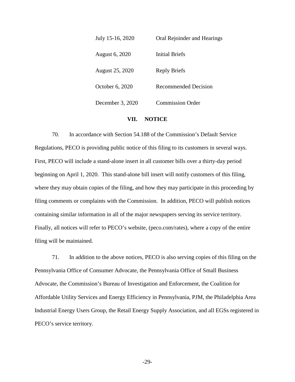| July 15-16, 2020 | Oral Rejoinder and Hearings |
|------------------|-----------------------------|
| August 6, 2020   | <b>Initial Briefs</b>       |
| August 25, 2020  | Reply Briefs                |
| October 6, 2020  | <b>Recommended Decision</b> |
| December 3, 2020 | <b>Commission Order</b>     |

## **VII. NOTICE**

70. In accordance with Section 54.188 of the Commission's Default Service Regulations, PECO is providing public notice of this filing to its customers in several ways. First, PECO will include a stand-alone insert in all customer bills over a thirty-day period beginning on April 1, 2020. This stand-alone bill insert will notify customers of this filing, where they may obtain copies of the filing, and how they may participate in this proceeding by filing comments or complaints with the Commission. In addition, PECO will publish notices containing similar information in all of the major newspapers serving its service territory. Finally, all notices will refer to PECO's website, (peco.com/rates), where a copy of the entire filing will be maintained.

71. In addition to the above notices, PECO is also serving copies of this filing on the Pennsylvania Office of Consumer Advocate, the Pennsylvania Office of Small Business Advocate, the Commission's Bureau of Investigation and Enforcement, the Coalition for Affordable Utility Services and Energy Efficiency in Pennsylvania, PJM, the Philadelphia Area Industrial Energy Users Group, the Retail Energy Supply Association, and all EGSs registered in PECO's service territory.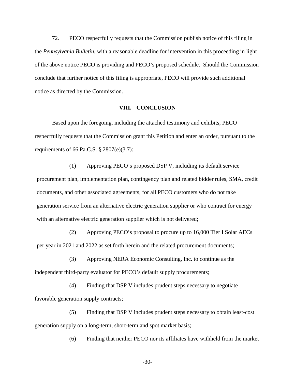72. PECO respectfully requests that the Commission publish notice of this filing in the *Pennsylvania Bulletin*, with a reasonable deadline for intervention in this proceeding in light of the above notice PECO is providing and PECO's proposed schedule. Should the Commission conclude that further notice of this filing is appropriate, PECO will provide such additional notice as directed by the Commission.

#### **VIII. CONCLUSION**

Based upon the foregoing, including the attached testimony and exhibits, PECO respectfully requests that the Commission grant this Petition and enter an order, pursuant to the requirements of 66 Pa.C.S.  $\S 2807(e)(3.7)$ :

(1) Approving PECO's proposed DSP V, including its default service procurement plan, implementation plan, contingency plan and related bidder rules, SMA, credit documents, and other associated agreements, for all PECO customers who do not take generation service from an alternative electric generation supplier or who contract for energy with an alternative electric generation supplier which is not delivered;

(2) Approving PECO's proposal to procure up to 16,000 Tier I Solar AECs per year in 2021 and 2022 as set forth herein and the related procurement documents;

(3) Approving NERA Economic Consulting, Inc. to continue as the independent third-party evaluator for PECO's default supply procurements;

(4) Finding that DSP V includes prudent steps necessary to negotiate favorable generation supply contracts;

(5) Finding that DSP V includes prudent steps necessary to obtain least-cost generation supply on a long-term, short-term and spot market basis;

(6) Finding that neither PECO nor its affiliates have withheld from the market

-30-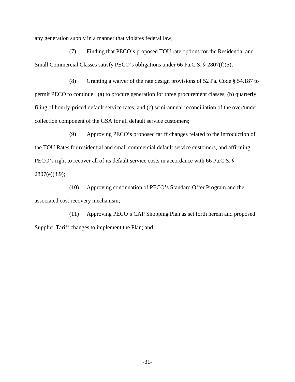any generation supply in a manner that violates federal law;

(7) Finding that PECO's proposed TOU rate options for the Residential and Small Commercial Classes satisfy PECO's obligations under 66 Pa.C.S. § 2807(f)(5);

(8) Granting a waiver of the rate design provisions of 52 Pa. Code § 54.187 to permit PECO to continue: (a) to procure generation for three procurement classes, (b) quarterly filing of hourly-priced default service rates, and (c) semi-annual reconciliation of the over/under collection component of the GSA for all default service customers;

(9) Approving PECO's proposed tariff changes related to the introduction of the TOU Rates for residential and small commercial default service customers, and affirming PECO's right to recover all of its default service costs in accordance with 66 Pa.C.S. § 2807(e)(3.9);

(10) Approving continuation of PECO's Standard Offer Program and the associated cost recovery mechanism;

(11) Approving PECO's CAP Shopping Plan as set forth herein and proposed Supplier Tariff changes to implement the Plan; and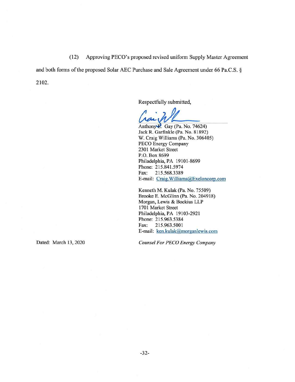(12) Approving PECO's proposed revised uniform Supply Master Agreement (12) Approving PECO's proposed revised uniform Supply Master Agreement

and both forms of the proposed Solar AEC Purchase and Sale Agreement under 66 Pa.C.S. § and both forms of the proposed Solar ABC Purchase and Sale Agreement under 66 Pa.C.S. § 2102. 2102.

Respectfully submitted, Respectfully submitted,

Respectfully submitted,<br>
Car W<br>
Anthony P. Gay (Pa. No. 74624)

Jack R. Garfinkle (Pa. No. 81892) Jack R. Garfinkle (Pa. No. 81892) W. Craig Williams (Pa. No. 306405) W. Craig Williams (Pa. No. 306405) PECO Energy Company PECO Energy Company 2301 Market Street 2301 Market Street P.O. Box 8699 P.O. Box 8699 Philadelphia, PA 19101-8699 Philadelphia, PA 19101-8699 Phone: 215.841.5974 Phone: 215.841.5974 Fax: 215.568.3389 Fax: 215.568.3389 E-mail: Craig.Williams@Exeloncorp.com E-mail: Craig.Williams@Exeloncorp.com

Kenneth M. Kulak (Pa. No. 75509) Kenneth M. Kulak (Pa. No. 75509) Brooke E. McGlinn (Pa. No. 204918) Brooke E. McGlinn (Pa. No. 204918) Morgan, Lewis & Bockius LLP Morgan, Lewis & Bockius LLP 1701 Market Street 1701 Market Street Philadelphia, PA 19103-2921 Philadelphia, PA 19103-2921 Phone: 215.963.5384 Phone: 215.963.5384 Fax: 215.963.5001 Fax: 215.963.5001 E-mail: ken.kulak@morganlewis.com

Dated: March 13, 2020 Counsel For PECO Energy Company Dated: March 13,2020 *Counsel For PECD Energy Company*